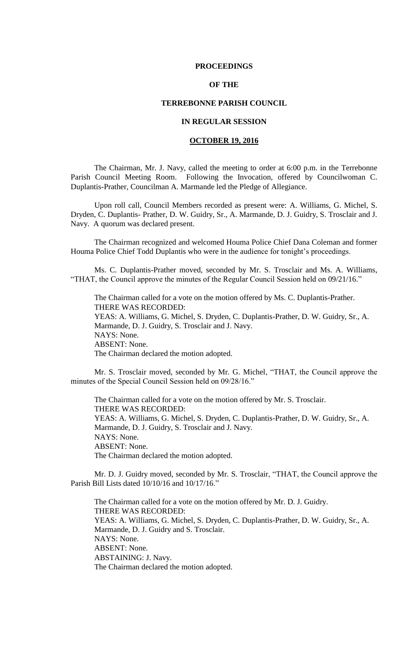### **PROCEEDINGS**

# **OF THE**

## **TERREBONNE PARISH COUNCIL**

# **IN REGULAR SESSION**

# **OCTOBER 19, 2016**

The Chairman, Mr. J. Navy, called the meeting to order at 6:00 p.m. in the Terrebonne Parish Council Meeting Room. Following the Invocation, offered by Councilwoman C. Duplantis-Prather, Councilman A. Marmande led the Pledge of Allegiance.

Upon roll call, Council Members recorded as present were: A. Williams, G. Michel, S. Dryden, C. Duplantis- Prather, D. W. Guidry, Sr., A. Marmande, D. J. Guidry, S. Trosclair and J. Navy. A quorum was declared present.

The Chairman recognized and welcomed Houma Police Chief Dana Coleman and former Houma Police Chief Todd Duplantis who were in the audience for tonight's proceedings.

Ms. C. Duplantis-Prather moved, seconded by Mr. S. Trosclair and Ms. A. Williams, "THAT, the Council approve the minutes of the Regular Council Session held on 09/21/16."

The Chairman called for a vote on the motion offered by Ms. C. Duplantis-Prather. THERE WAS RECORDED: YEAS: A. Williams, G. Michel, S. Dryden, C. Duplantis-Prather, D. W. Guidry, Sr., A. Marmande, D. J. Guidry, S. Trosclair and J. Navy. NAYS: None. ABSENT: None. The Chairman declared the motion adopted.

Mr. S. Trosclair moved, seconded by Mr. G. Michel, "THAT, the Council approve the minutes of the Special Council Session held on 09/28/16."

The Chairman called for a vote on the motion offered by Mr. S. Trosclair. THERE WAS RECORDED: YEAS: A. Williams, G. Michel, S. Dryden, C. Duplantis-Prather, D. W. Guidry, Sr., A. Marmande, D. J. Guidry, S. Trosclair and J. Navy. NAYS: None. ABSENT: None. The Chairman declared the motion adopted.

Mr. D. J. Guidry moved, seconded by Mr. S. Trosclair, "THAT, the Council approve the Parish Bill Lists dated 10/10/16 and 10/17/16."

The Chairman called for a vote on the motion offered by Mr. D. J. Guidry. THERE WAS RECORDED: YEAS: A. Williams, G. Michel, S. Dryden, C. Duplantis-Prather, D. W. Guidry, Sr., A. Marmande, D. J. Guidry and S. Trosclair. NAYS: None. ABSENT: None. ABSTAINING: J. Navy. The Chairman declared the motion adopted.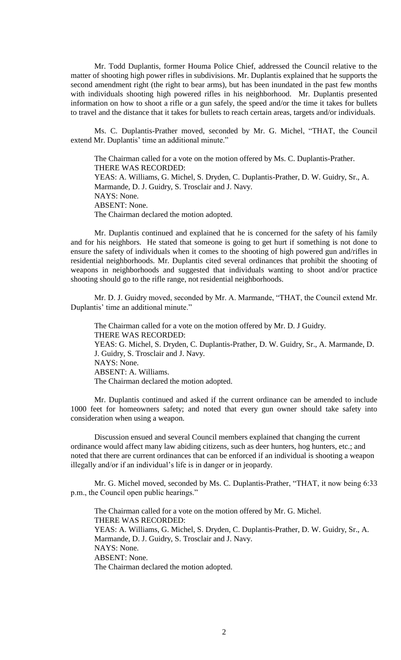Mr. Todd Duplantis, former Houma Police Chief, addressed the Council relative to the matter of shooting high power rifles in subdivisions. Mr. Duplantis explained that he supports the second amendment right (the right to bear arms), but has been inundated in the past few months with individuals shooting high powered rifles in his neighborhood. Mr. Duplantis presented information on how to shoot a rifle or a gun safely, the speed and/or the time it takes for bullets to travel and the distance that it takes for bullets to reach certain areas, targets and/or individuals.

Ms. C. Duplantis-Prather moved, seconded by Mr. G. Michel, "THAT, the Council extend Mr. Duplantis' time an additional minute."

The Chairman called for a vote on the motion offered by Ms. C. Duplantis-Prather. THERE WAS RECORDED: YEAS: A. Williams, G. Michel, S. Dryden, C. Duplantis-Prather, D. W. Guidry, Sr., A. Marmande, D. J. Guidry, S. Trosclair and J. Navy. NAYS: None. ABSENT: None. The Chairman declared the motion adopted.

Mr. Duplantis continued and explained that he is concerned for the safety of his family and for his neighbors. He stated that someone is going to get hurt if something is not done to ensure the safety of individuals when it comes to the shooting of high powered gun and/rifles in residential neighborhoods. Mr. Duplantis cited several ordinances that prohibit the shooting of weapons in neighborhoods and suggested that individuals wanting to shoot and/or practice shooting should go to the rifle range, not residential neighborhoods.

Mr. D. J. Guidry moved, seconded by Mr. A. Marmande, "THAT, the Council extend Mr. Duplantis' time an additional minute."

The Chairman called for a vote on the motion offered by Mr. D. J Guidry. THERE WAS RECORDED: YEAS: G. Michel, S. Dryden, C. Duplantis-Prather, D. W. Guidry, Sr., A. Marmande, D. J. Guidry, S. Trosclair and J. Navy. NAYS: None. ABSENT: A. Williams. The Chairman declared the motion adopted.

Mr. Duplantis continued and asked if the current ordinance can be amended to include 1000 feet for homeowners safety; and noted that every gun owner should take safety into consideration when using a weapon.

Discussion ensued and several Council members explained that changing the current ordinance would affect many law abiding citizens, such as deer hunters, hog hunters, etc.; and noted that there are current ordinances that can be enforced if an individual is shooting a weapon illegally and/or if an individual's life is in danger or in jeopardy.

Mr. G. Michel moved, seconded by Ms. C. Duplantis-Prather, "THAT, it now being 6:33 p.m., the Council open public hearings."

The Chairman called for a vote on the motion offered by Mr. G. Michel. THERE WAS RECORDED: YEAS: A. Williams, G. Michel, S. Dryden, C. Duplantis-Prather, D. W. Guidry, Sr., A. Marmande, D. J. Guidry, S. Trosclair and J. Navy. NAYS: None. ABSENT: None. The Chairman declared the motion adopted.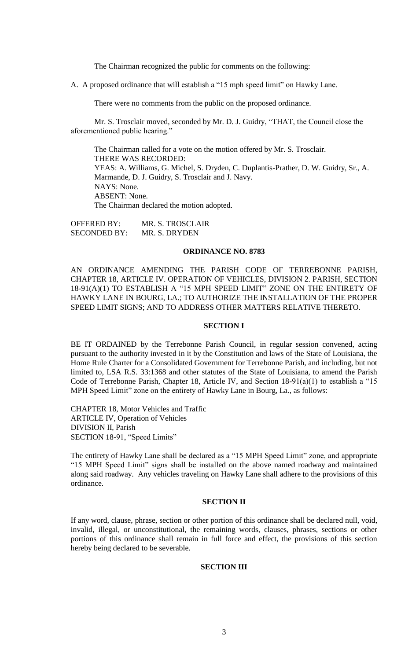The Chairman recognized the public for comments on the following:

A. A proposed ordinance that will establish a "15 mph speed limit" on Hawky Lane.

There were no comments from the public on the proposed ordinance.

Mr. S. Trosclair moved, seconded by Mr. D. J. Guidry, "THAT, the Council close the aforementioned public hearing."

The Chairman called for a vote on the motion offered by Mr. S. Trosclair. THERE WAS RECORDED: YEAS: A. Williams, G. Michel, S. Dryden, C. Duplantis-Prather, D. W. Guidry, Sr., A. Marmande, D. J. Guidry, S. Trosclair and J. Navy. NAYS: None. ABSENT: None. The Chairman declared the motion adopted.

OFFERED BY: MR. S. TROSCLAIR SECONDED BY: MR. S. DRYDEN

### **ORDINANCE NO. 8783**

AN ORDINANCE AMENDING THE PARISH CODE OF TERREBONNE PARISH, CHAPTER 18, ARTICLE IV. OPERATION OF VEHICLES, DIVISION 2. PARISH, SECTION 18-91(A)(1) TO ESTABLISH A "15 MPH SPEED LIMIT" ZONE ON THE ENTIRETY OF HAWKY LANE IN BOURG, LA.; TO AUTHORIZE THE INSTALLATION OF THE PROPER SPEED LIMIT SIGNS; AND TO ADDRESS OTHER MATTERS RELATIVE THERETO.

# **SECTION I**

BE IT ORDAINED by the Terrebonne Parish Council, in regular session convened, acting pursuant to the authority invested in it by the Constitution and laws of the State of Louisiana, the Home Rule Charter for a Consolidated Government for Terrebonne Parish, and including, but not limited to, LSA R.S. 33:1368 and other statutes of the State of Louisiana, to amend the Parish Code of Terrebonne Parish, Chapter 18, Article IV, and Section 18-91(a)(1) to establish a "15 MPH Speed Limit" zone on the entirety of Hawky Lane in Bourg, La., as follows:

CHAPTER 18, Motor Vehicles and Traffic ARTICLE IV, Operation of Vehicles DIVISION II, Parish SECTION 18-91, "Speed Limits"

The entirety of Hawky Lane shall be declared as a "15 MPH Speed Limit" zone, and appropriate "15 MPH Speed Limit" signs shall be installed on the above named roadway and maintained along said roadway. Any vehicles traveling on Hawky Lane shall adhere to the provisions of this ordinance.

# **SECTION II**

If any word, clause, phrase, section or other portion of this ordinance shall be declared null, void, invalid, illegal, or unconstitutional, the remaining words, clauses, phrases, sections or other portions of this ordinance shall remain in full force and effect, the provisions of this section hereby being declared to be severable.

### **SECTION III**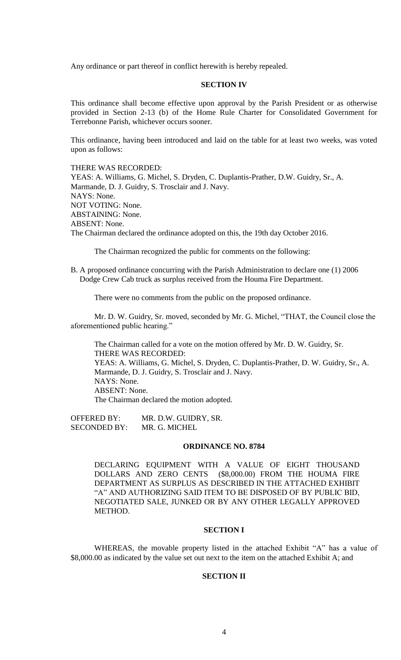Any ordinance or part thereof in conflict herewith is hereby repealed.

# **SECTION IV**

This ordinance shall become effective upon approval by the Parish President or as otherwise provided in Section 2-13 (b) of the Home Rule Charter for Consolidated Government for Terrebonne Parish, whichever occurs sooner.

This ordinance, having been introduced and laid on the table for at least two weeks, was voted upon as follows:

THERE WAS RECORDED: YEAS: A. Williams, G. Michel, S. Dryden, C. Duplantis-Prather, D.W. Guidry, Sr., A. Marmande, D. J. Guidry, S. Trosclair and J. Navy. NAYS: None. NOT VOTING: None. ABSTAINING: None. ABSENT: None. The Chairman declared the ordinance adopted on this, the 19th day October 2016.

The Chairman recognized the public for comments on the following:

B. A proposed ordinance concurring with the Parish Administration to declare one (1) 2006 Dodge Crew Cab truck as surplus received from the Houma Fire Department.

There were no comments from the public on the proposed ordinance.

Mr. D. W. Guidry, Sr. moved, seconded by Mr. G. Michel, "THAT, the Council close the aforementioned public hearing."

The Chairman called for a vote on the motion offered by Mr. D. W. Guidry, Sr. THERE WAS RECORDED: YEAS: A. Williams, G. Michel, S. Dryden, C. Duplantis-Prather, D. W. Guidry, Sr., A. Marmande, D. J. Guidry, S. Trosclair and J. Navy. NAYS: None. ABSENT: None. The Chairman declared the motion adopted.

OFFERED BY: MR. D.W. GUIDRY, SR. SECONDED BY: MR. G. MICHEL

### **ORDINANCE NO. 8784**

DECLARING EQUIPMENT WITH A VALUE OF EIGHT THOUSAND DOLLARS AND ZERO CENTS (\$8,000.00) FROM THE HOUMA FIRE DEPARTMENT AS SURPLUS AS DESCRIBED IN THE ATTACHED EXHIBIT "A" AND AUTHORIZING SAID ITEM TO BE DISPOSED OF BY PUBLIC BID, NEGOTIATED SALE, JUNKED OR BY ANY OTHER LEGALLY APPROVED METHOD.

### **SECTION I**

WHEREAS, the movable property listed in the attached Exhibit "A" has a value of \$8,000.00 as indicated by the value set out next to the item on the attached Exhibit A; and

### **SECTION II**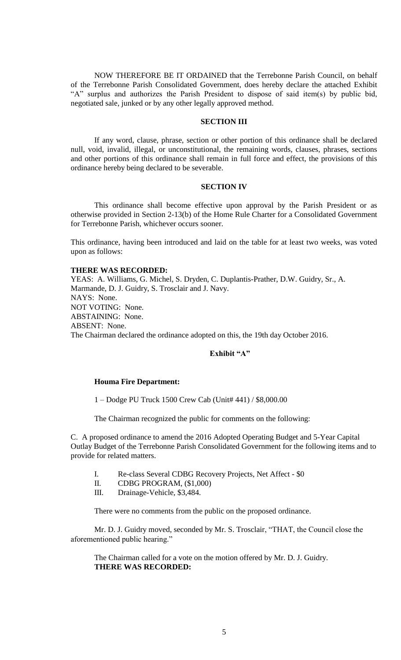NOW THEREFORE BE IT ORDAINED that the Terrebonne Parish Council, on behalf of the Terrebonne Parish Consolidated Government, does hereby declare the attached Exhibit "A" surplus and authorizes the Parish President to dispose of said item(s) by public bid, negotiated sale, junked or by any other legally approved method.

# **SECTION III**

If any word, clause, phrase, section or other portion of this ordinance shall be declared null, void, invalid, illegal, or unconstitutional, the remaining words, clauses, phrases, sections and other portions of this ordinance shall remain in full force and effect, the provisions of this ordinance hereby being declared to be severable.

#### **SECTION IV**

This ordinance shall become effective upon approval by the Parish President or as otherwise provided in Section 2-13(b) of the Home Rule Charter for a Consolidated Government for Terrebonne Parish, whichever occurs sooner.

This ordinance, having been introduced and laid on the table for at least two weeks, was voted upon as follows:

#### **THERE WAS RECORDED:**

YEAS: A. Williams, G. Michel, S. Dryden, C. Duplantis-Prather, D.W. Guidry, Sr., A. Marmande, D. J. Guidry, S. Trosclair and J. Navy. NAYS: None. NOT VOTING: None. ABSTAINING: None. ABSENT: None. The Chairman declared the ordinance adopted on this, the 19th day October 2016.

# **Exhibit "A"**

### **Houma Fire Department:**

1 – Dodge PU Truck 1500 Crew Cab (Unit# 441) / \$8,000.00

The Chairman recognized the public for comments on the following:

C. A proposed ordinance to amend the 2016 Adopted Operating Budget and 5-Year Capital Outlay Budget of the Terrebonne Parish Consolidated Government for the following items and to provide for related matters.

- I. Re-class Several CDBG Recovery Projects, Net Affect \$0
- II. CDBG PROGRAM, (\$1,000)
- III. Drainage-Vehicle, \$3,484.

There were no comments from the public on the proposed ordinance.

Mr. D. J. Guidry moved, seconded by Mr. S. Trosclair, "THAT, the Council close the aforementioned public hearing."

The Chairman called for a vote on the motion offered by Mr. D. J. Guidry. **THERE WAS RECORDED:**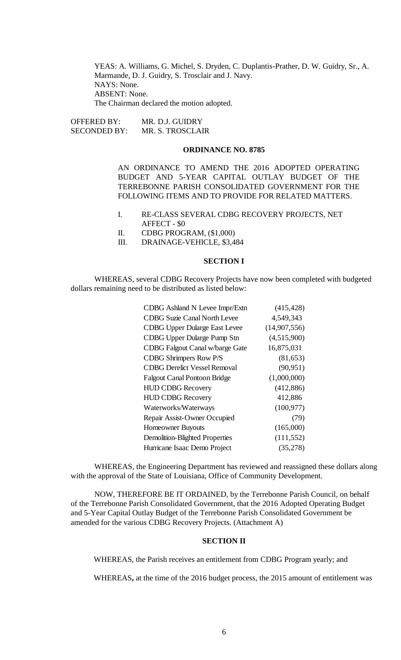YEAS: A. Williams, G. Michel, S. Dryden, C. Duplantis-Prather, D. W. Guidry, Sr., A. Marmande, D. J. Guidry, S. Trosclair and J. Navy. NAYS: None. ABSENT: None. The Chairman declared the motion adopted.

OFFERED BY: MR. D.J. GUIDRY SECONDED BY: MR. S. TROSCLAIR

### **ORDINANCE NO. 8785**

AN ORDINANCE TO AMEND THE 2016 ADOPTED OPERATING BUDGET AND 5-YEAR CAPITAL OUTLAY BUDGET OF THE TERREBONNE PARISH CONSOLIDATED GOVERNMENT FOR THE FOLLOWING ITEMS AND TO PROVIDE FOR RELATED MATTERS.

- I. RE-CLASS SEVERAL CDBG RECOVERY PROJECTS, NET AFFECT - \$0
- II. CDBG PROGRAM, (\$1,000)
- III. DRAINAGE-VEHICLE, \$3,484

### **SECTION I**

WHEREAS, several CDBG Recovery Projects have now been completed with budgeted dollars remaining need to be distributed as listed below:

| <b>CDBG Ashland N Levee Impr/Extn</b>  | (415, 428)   |
|----------------------------------------|--------------|
| <b>CDBG Suzie Canal North Levee</b>    | 4,549,343    |
| <b>CDBG Upper Dularge East Levee</b>   | (14,907,556) |
| <b>CDBG Upper Dularge Pump Stn</b>     | (4,515,900)  |
| <b>CDBG Falgout Canal w/barge Gate</b> | 16,875,031   |
| <b>CDBG Shrimpers Row P/S</b>          | (81, 653)    |
| <b>CDBG Derelict Vessel Removal</b>    | (90, 951)    |
| <b>Falgout Canal Pontoon Bridge</b>    | (1,000,000)  |
| <b>HUD CDBG Recovery</b>               | (412,886)    |
| <b>HUD CDBG Recovery</b>               | 412,886      |
| Waterworks/Waterways                   | (100, 977)   |
| Repair Assist-Owner Occupied           | (79)         |
| <b>Homeowner Buyouts</b>               | (165,000)    |
| <b>Demolition-Blighted Properties</b>  | (111, 552)   |
| Hurricane Isaac Demo Project           | (35,278)     |

WHEREAS, the Engineering Department has reviewed and reassigned these dollars along with the approval of the State of Louisiana, Office of Community Development.

NOW, THEREFORE BE IT ORDAINED, by the Terrebonne Parish Council, on behalf of the Terrebonne Parish Consolidated Government, that the 2016 Adopted Operating Budget and 5-Year Capital Outlay Budget of the Terrebonne Parish Consolidated Government be amended for the various CDBG Recovery Projects. (Attachment A)

# **SECTION II**

WHEREAS, the Parish receives an entitlement from CDBG Program yearly; and

WHEREAS**,** at the time of the 2016 budget process, the 2015 amount of entitlement was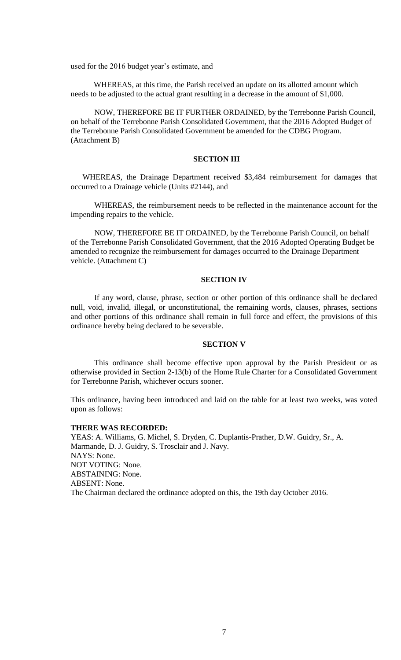used for the 2016 budget year's estimate, and

WHEREAS, at this time, the Parish received an update on its allotted amount which needs to be adjusted to the actual grant resulting in a decrease in the amount of \$1,000.

NOW, THEREFORE BE IT FURTHER ORDAINED, by the Terrebonne Parish Council, on behalf of the Terrebonne Parish Consolidated Government, that the 2016 Adopted Budget of the Terrebonne Parish Consolidated Government be amended for the CDBG Program. (Attachment B)

# **SECTION III**

WHEREAS, the Drainage Department received \$3,484 reimbursement for damages that occurred to a Drainage vehicle (Units #2144), and

WHEREAS, the reimbursement needs to be reflected in the maintenance account for the impending repairs to the vehicle.

NOW, THEREFORE BE IT ORDAINED, by the Terrebonne Parish Council, on behalf of the Terrebonne Parish Consolidated Government, that the 2016 Adopted Operating Budget be amended to recognize the reimbursement for damages occurred to the Drainage Department vehicle. (Attachment C)

### **SECTION IV**

If any word, clause, phrase, section or other portion of this ordinance shall be declared null, void, invalid, illegal, or unconstitutional, the remaining words, clauses, phrases, sections and other portions of this ordinance shall remain in full force and effect, the provisions of this ordinance hereby being declared to be severable.

### **SECTION V**

This ordinance shall become effective upon approval by the Parish President or as otherwise provided in Section 2-13(b) of the Home Rule Charter for a Consolidated Government for Terrebonne Parish, whichever occurs sooner.

This ordinance, having been introduced and laid on the table for at least two weeks, was voted upon as follows:

# **THERE WAS RECORDED:**

YEAS: A. Williams, G. Michel, S. Dryden, C. Duplantis-Prather, D.W. Guidry, Sr., A. Marmande, D. J. Guidry, S. Trosclair and J. Navy. NAYS: None. NOT VOTING: None. ABSTAINING: None. ABSENT: None. The Chairman declared the ordinance adopted on this, the 19th day October 2016.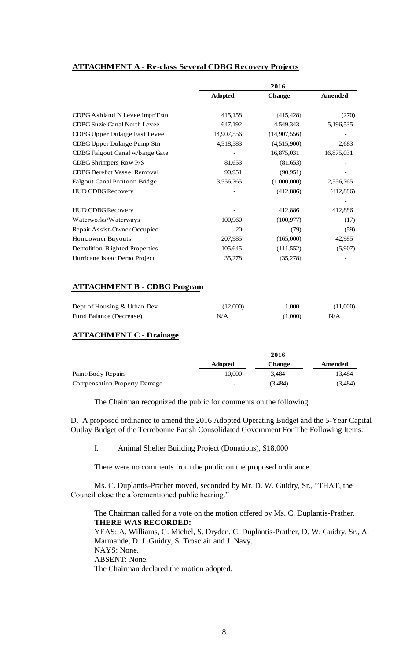# **ATTACHMENT A - Re-class Several CDBG Recovery Projects**

|                | 2016          |                |
|----------------|---------------|----------------|
| <b>Adopted</b> | <b>Change</b> | <b>Amended</b> |
|                |               |                |
| 415,158        | (415, 428)    | (270)          |
| 647,192        | 4,549,343     | 5,196,535      |
| 14,907,556     | (14,907,556)  |                |
| 4,518,583      | (4,515,900)   | 2,683          |
|                | 16,875,031    | 16,875,031     |
| 81,653         | (81,653)      |                |
| 90,951         | (90, 951)     |                |
| 3,556,765      | (1,000,000)   | 2,556,765      |
|                | (412,886)     | (412,886)      |
|                |               |                |
|                | 412,886       | 412,886        |
| 100,960        | (100, 977)    | (17)           |
| 20             | (79)          | (59)           |
| 207,985        | (165,000)     | 42,985         |
| 105,645        | (111, 552)    | (5,907)        |
| 35,278         | (35,278)      |                |
|                |               |                |

# **ATTACHMENT B - CDBG Program**

| Dept of Housing & Urban Dev | (12,000) | 1.000   | (11,000) |
|-----------------------------|----------|---------|----------|
| Fund Balance (Decrease)     | N/A      | (1,000) | N/A      |

# **ATTACHMENT C - Drainage**

|                                     |                          | 2016          |         |
|-------------------------------------|--------------------------|---------------|---------|
|                                     | <b>Adopted</b>           | <b>Change</b> | Amended |
| Paint/Body Repairs                  | 10,000                   | 3.484         | 13.484  |
| <b>Compensation Property Damage</b> | $\overline{\phantom{a}}$ | (3.484)       | (3,484) |

The Chairman recognized the public for comments on the following:

D. A proposed ordinance to amend the 2016 Adopted Operating Budget and the 5-Year Capital Outlay Budget of the Terrebonne Parish Consolidated Government For The Following Items:

I. Animal Shelter Building Project (Donations), \$18,000

There were no comments from the public on the proposed ordinance.

Ms. C. Duplantis-Prather moved, seconded by Mr. D. W. Guidry, Sr., "THAT, the Council close the aforementioned public hearing."

The Chairman called for a vote on the motion offered by Ms. C. Duplantis-Prather. **THERE WAS RECORDED:** YEAS: A. Williams, G. Michel, S. Dryden, C. Duplantis-Prather, D. W. Guidry, Sr., A. Marmande, D. J. Guidry, S. Trosclair and J. Navy. NAYS: None. ABSENT: None. The Chairman declared the motion adopted.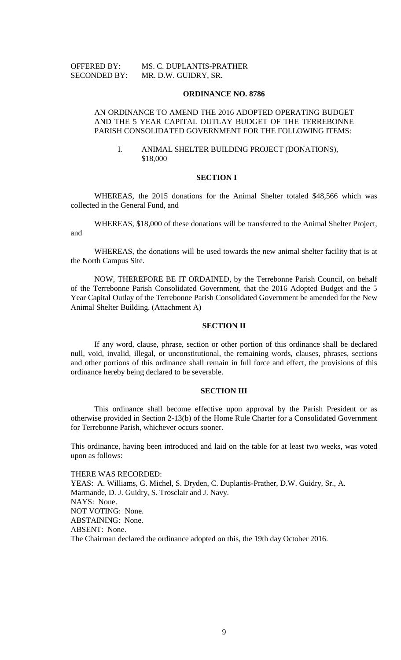# OFFERED BY: MS. C. DUPLANTIS-PRATHER SECONDED BY: MR. D.W. GUIDRY, SR.

#### **ORDINANCE NO. 8786**

# AN ORDINANCE TO AMEND THE 2016 ADOPTED OPERATING BUDGET AND THE 5 YEAR CAPITAL OUTLAY BUDGET OF THE TERREBONNE PARISH CONSOLIDATED GOVERNMENT FOR THE FOLLOWING ITEMS:

### I. ANIMAL SHELTER BUILDING PROJECT (DONATIONS), \$18,000

#### **SECTION I**

WHEREAS, the 2015 donations for the Animal Shelter totaled \$48,566 which was collected in the General Fund, and

WHEREAS, \$18,000 of these donations will be transferred to the Animal Shelter Project, and

WHEREAS, the donations will be used towards the new animal shelter facility that is at the North Campus Site.

NOW, THEREFORE BE IT ORDAINED, by the Terrebonne Parish Council, on behalf of the Terrebonne Parish Consolidated Government, that the 2016 Adopted Budget and the 5 Year Capital Outlay of the Terrebonne Parish Consolidated Government be amended for the New Animal Shelter Building. (Attachment A)

### **SECTION II**

If any word, clause, phrase, section or other portion of this ordinance shall be declared null, void, invalid, illegal, or unconstitutional, the remaining words, clauses, phrases, sections and other portions of this ordinance shall remain in full force and effect, the provisions of this ordinance hereby being declared to be severable.

### **SECTION III**

This ordinance shall become effective upon approval by the Parish President or as otherwise provided in Section 2-13(b) of the Home Rule Charter for a Consolidated Government for Terrebonne Parish, whichever occurs sooner.

This ordinance, having been introduced and laid on the table for at least two weeks, was voted upon as follows:

THERE WAS RECORDED: YEAS: A. Williams, G. Michel, S. Dryden, C. Duplantis-Prather, D.W. Guidry, Sr., A. Marmande, D. J. Guidry, S. Trosclair and J. Navy. NAYS: None. NOT VOTING: None. ABSTAINING: None. ABSENT: None. The Chairman declared the ordinance adopted on this, the 19th day October 2016.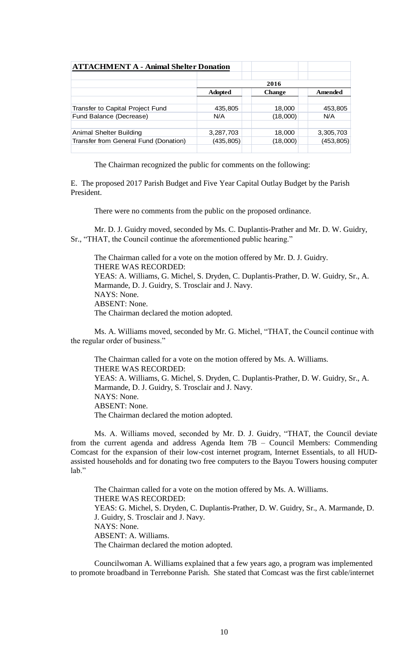| <b>ATTACHMENT A - Animal Shelter Donation</b> |                |               |            |
|-----------------------------------------------|----------------|---------------|------------|
|                                               |                | 2016          |            |
|                                               | <b>Adopted</b> | <b>Change</b> | Amended    |
|                                               |                |               |            |
| Transfer to Capital Project Fund              | 435,805        | 18,000        | 453,805    |
| Fund Balance (Decrease)                       | N/A            | (18,000)      | N/A        |
|                                               |                |               |            |
| Animal Shelter Building                       | 3,287,703      | 18,000        | 3,305,703  |
| Transfer from General Fund (Donation)         | (435, 805)     | (18,000)      | (453, 805) |
|                                               |                |               |            |

The Chairman recognized the public for comments on the following:

E. The proposed 2017 Parish Budget and Five Year Capital Outlay Budget by the Parish President.

There were no comments from the public on the proposed ordinance.

Mr. D. J. Guidry moved, seconded by Ms. C. Duplantis-Prather and Mr. D. W. Guidry, Sr., "THAT, the Council continue the aforementioned public hearing."

The Chairman called for a vote on the motion offered by Mr. D. J. Guidry. THERE WAS RECORDED: YEAS: A. Williams, G. Michel, S. Dryden, C. Duplantis-Prather, D. W. Guidry, Sr., A. Marmande, D. J. Guidry, S. Trosclair and J. Navy. NAYS: None. ABSENT: None. The Chairman declared the motion adopted.

Ms. A. Williams moved, seconded by Mr. G. Michel, "THAT, the Council continue with the regular order of business."

The Chairman called for a vote on the motion offered by Ms. A. Williams. THERE WAS RECORDED: YEAS: A. Williams, G. Michel, S. Dryden, C. Duplantis-Prather, D. W. Guidry, Sr., A. Marmande, D. J. Guidry, S. Trosclair and J. Navy. NAYS: None. ABSENT: None. The Chairman declared the motion adopted.

Ms. A. Williams moved, seconded by Mr. D. J. Guidry, "THAT, the Council deviate from the current agenda and address Agenda Item 7B – Council Members: Commending Comcast for the expansion of their low-cost internet program, Internet Essentials, to all HUDassisted households and for donating two free computers to the Bayou Towers housing computer lab."

The Chairman called for a vote on the motion offered by Ms. A. Williams. THERE WAS RECORDED: YEAS: G. Michel, S. Dryden, C. Duplantis-Prather, D. W. Guidry, Sr., A. Marmande, D. J. Guidry, S. Trosclair and J. Navy. NAYS: None. ABSENT: A. Williams. The Chairman declared the motion adopted.

Councilwoman A. Williams explained that a few years ago, a program was implemented to promote broadband in Terrebonne Parish. She stated that Comcast was the first cable/internet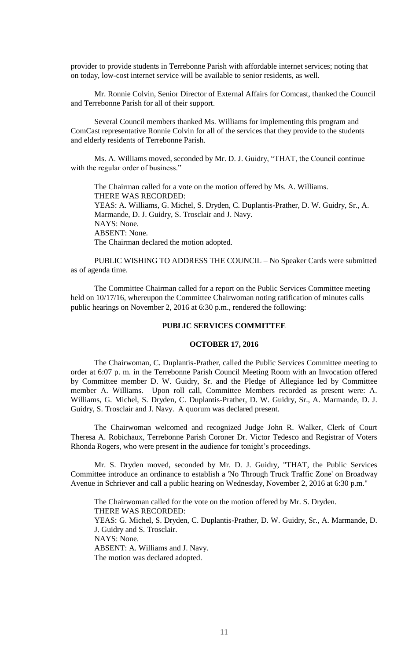provider to provide students in Terrebonne Parish with affordable internet services; noting that on today, low-cost internet service will be available to senior residents, as well.

Mr. Ronnie Colvin, Senior Director of External Affairs for Comcast, thanked the Council and Terrebonne Parish for all of their support.

Several Council members thanked Ms. Williams for implementing this program and ComCast representative Ronnie Colvin for all of the services that they provide to the students and elderly residents of Terrebonne Parish.

Ms. A. Williams moved, seconded by Mr. D. J. Guidry, "THAT, the Council continue with the regular order of business."

The Chairman called for a vote on the motion offered by Ms. A. Williams. THERE WAS RECORDED: YEAS: A. Williams, G. Michel, S. Dryden, C. Duplantis-Prather, D. W. Guidry, Sr., A. Marmande, D. J. Guidry, S. Trosclair and J. Navy. NAYS: None. ABSENT: None. The Chairman declared the motion adopted.

PUBLIC WISHING TO ADDRESS THE COUNCIL – No Speaker Cards were submitted as of agenda time.

The Committee Chairman called for a report on the Public Services Committee meeting held on 10/17/16, whereupon the Committee Chairwoman noting ratification of minutes calls public hearings on November 2, 2016 at 6:30 p.m., rendered the following:

### **PUBLIC SERVICES COMMITTEE**

# **OCTOBER 17, 2016**

The Chairwoman, C. Duplantis-Prather, called the Public Services Committee meeting to order at 6:07 p. m. in the Terrebonne Parish Council Meeting Room with an Invocation offered by Committee member D. W. Guidry, Sr. and the Pledge of Allegiance led by Committee member A. Williams. Upon roll call, Committee Members recorded as present were: A. Williams, G. Michel, S. Dryden, C. Duplantis-Prather, D. W. Guidry, Sr., A. Marmande, D. J. Guidry, S. Trosclair and J. Navy. A quorum was declared present.

The Chairwoman welcomed and recognized Judge John R. Walker, Clerk of Court Theresa A. Robichaux, Terrebonne Parish Coroner Dr. Victor Tedesco and Registrar of Voters Rhonda Rogers, who were present in the audience for tonight's proceedings.

Mr. S. Dryden moved, seconded by Mr. D. J. Guidry, "THAT, the Public Services Committee introduce an ordinance to establish a 'No Through Truck Traffic Zone' on Broadway Avenue in Schriever and call a public hearing on Wednesday, November 2, 2016 at 6:30 p.m."

The Chairwoman called for the vote on the motion offered by Mr. S. Dryden. THERE WAS RECORDED: YEAS: G. Michel, S. Dryden, C. Duplantis-Prather, D. W. Guidry, Sr., A. Marmande, D. J. Guidry and S. Trosclair. NAYS: None. ABSENT: A. Williams and J. Navy. The motion was declared adopted.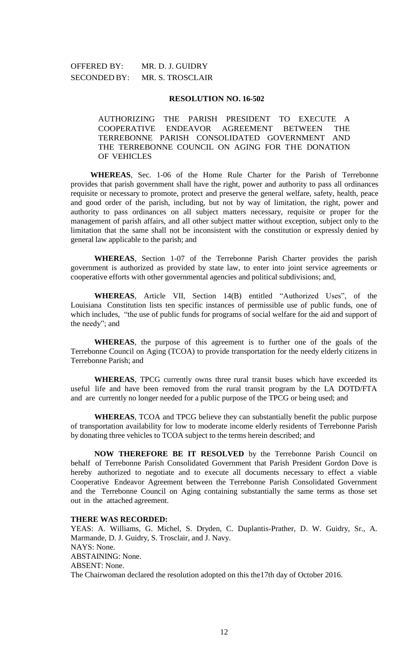# OFFERED BY: MR. D. J. GUIDRY SECONDED BY: MR. S. TROSCLAIR

### **RESOLUTION NO. 16-502**

AUTHORIZING THE PARISH PRESIDENT TO EXECUTE A COOPERATIVE ENDEAVOR AGREEMENT BETWEEN THE TERREBONNE PARISH CONSOLIDATED GOVERNMENT AND THE TERREBONNE COUNCIL ON AGING FOR THE DONATION OF VEHICLES

**WHEREAS**, Sec. 1-06 of the Home Rule Charter for the Parish of Terrebonne provides that parish government shall have the right, power and authority to pass all ordinances requisite or necessary to promote, protect and preserve the general welfare, safety, health, peace and good order of the parish, including, but not by way of limitation, the right, power and authority to pass ordinances on all subject matters necessary, requisite or proper for the management of parish affairs, and all other subject matter without exception, subject only to the limitation that the same shall not be inconsistent with the constitution or expressly denied by general law applicable to the parish; and

**WHEREAS**, Section 1-07 of the Terrebonne Parish Charter provides the parish government is authorized as provided by state law, to enter into joint service agreements or cooperative efforts with other governmental agencies and political subdivisions; and,

**WHEREAS**, Article VII, Section 14(B) entitled "Authorized Uses", of the Louisiana Constitution lists ten specific instances of permissible use of public funds, one of which includes, "the use of public funds for programs of social welfare for the aid and support of the needy"; and

**WHEREAS**, the purpose of this agreement is to further one of the goals of the Terrebonne Council on Aging (TCOA) to provide transportation for the needy elderly citizens in Terrebonne Parish; and

**WHEREAS**, TPCG currently owns three rural transit buses which have exceeded its useful life and have been removed from the rural transit program by the LA DOTD/FTA and are currently no longer needed for a public purpose of the TPCG or being used; and

**WHEREAS**, TCOA and TPCG believe they can substantially benefit the public purpose of transportation availability for low to moderate income elderly residents of Terrebonne Parish by donating three vehicles to TCOA subject to the terms herein described; and

**NOW THEREFORE BE IT RESOLVED** by the Terrebonne Parish Council on behalf of Terrebonne Parish Consolidated Government that Parish President Gordon Dove is hereby authorized to negotiate and to execute all documents necessary to effect a viable Cooperative Endeavor Agreement between the Terrebonne Parish Consolidated Government and the Terrebonne Council on Aging containing substantially the same terms as those set out in the attached agreement.

### **THERE WAS RECORDED:**

YEAS: A. Williams, G. Michel, S. Dryden, C. Duplantis-Prather, D. W. Guidry, Sr., A. Marmande, D. J. Guidry, S. Trosclair, and J. Navy. NAYS: None. ABSTAINING: None. ABSENT: None. The Chairwoman declared the resolution adopted on this the17th day of October 2016.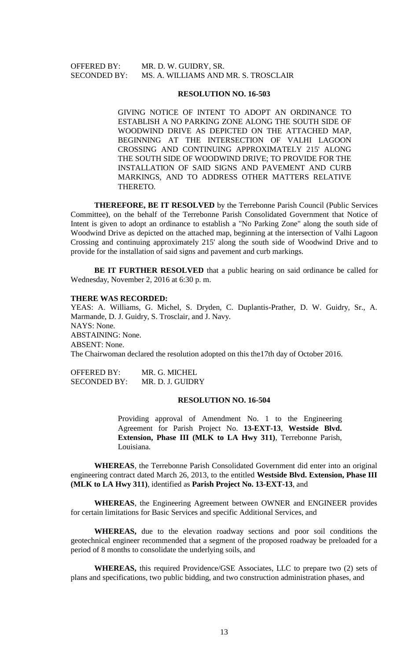### OFFERED BY: MR. D. W. GUIDRY, SR. SECONDED BY: MS. A. WILLIAMS AND MR. S. TROSCLAIR

#### **RESOLUTION NO. 16-503**

GIVING NOTICE OF INTENT TO ADOPT AN ORDINANCE TO ESTABLISH A NO PARKING ZONE ALONG THE SOUTH SIDE OF WOODWIND DRIVE AS DEPICTED ON THE ATTACHED MAP, BEGINNING AT THE INTERSECTION OF VALHI LAGOON CROSSING AND CONTINUING APPROXIMATELY 215' ALONG THE SOUTH SIDE OF WOODWIND DRIVE; TO PROVIDE FOR THE INSTALLATION OF SAID SIGNS AND PAVEMENT AND CURB MARKINGS, AND TO ADDRESS OTHER MATTERS RELATIVE THERETO.

**THEREFORE, BE IT RESOLVED** by the Terrebonne Parish Council (Public Services Committee), on the behalf of the Terrebonne Parish Consolidated Government that Notice of Intent is given to adopt an ordinance to establish a "No Parking Zone" along the south side of Woodwind Drive as depicted on the attached map, beginning at the intersection of Valhi Lagoon Crossing and continuing approximately 215' along the south side of Woodwind Drive and to provide for the installation of said signs and pavement and curb markings.

**BE IT FURTHER RESOLVED** that a public hearing on said ordinance be called for Wednesday, November 2, 2016 at 6:30 p. m.

#### **THERE WAS RECORDED:**

YEAS: A. Williams, G. Michel, S. Dryden, C. Duplantis-Prather, D. W. Guidry, Sr., A. Marmande, D. J. Guidry, S. Trosclair, and J. Navy. NAYS: None. ABSTAINING: None. ABSENT: None. The Chairwoman declared the resolution adopted on this the17th day of October 2016.

OFFERED BY: MR. G. MICHEL SECONDED BY: MR. D. J. GUIDRY

### **RESOLUTION NO. 16-504**

Providing approval of Amendment No. 1 to the Engineering Agreement for Parish Project No. **13-EXT-13**, **Westside Blvd. Extension, Phase III (MLK to LA Hwy 311)**, Terrebonne Parish, Louisiana.

**WHEREAS**, the Terrebonne Parish Consolidated Government did enter into an original engineering contract dated March 26, 2013, to the entitled **Westside Blvd. Extension, Phase III (MLK to LA Hwy 311)**, identified as **Parish Project No. 13-EXT-13**, and

**WHEREAS**, the Engineering Agreement between OWNER and ENGINEER provides for certain limitations for Basic Services and specific Additional Services, and

**WHEREAS,** due to the elevation roadway sections and poor soil conditions the geotechnical engineer recommended that a segment of the proposed roadway be preloaded for a period of 8 months to consolidate the underlying soils, and

**WHEREAS,** this required Providence/GSE Associates, LLC to prepare two (2) sets of plans and specifications, two public bidding, and two construction administration phases, and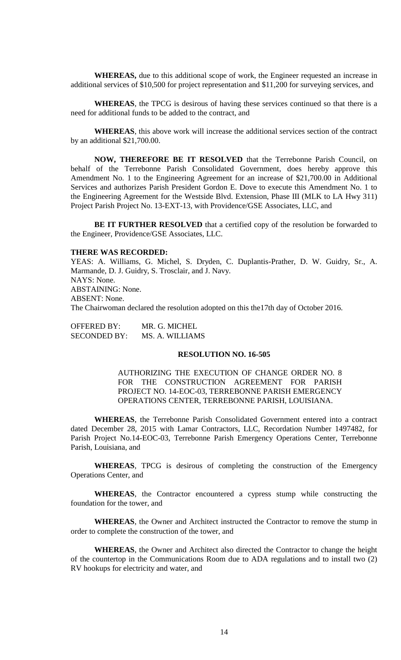**WHEREAS,** due to this additional scope of work, the Engineer requested an increase in additional services of \$10,500 for project representation and \$11,200 for surveying services, and

**WHEREAS**, the TPCG is desirous of having these services continued so that there is a need for additional funds to be added to the contract, and

**WHEREAS**, this above work will increase the additional services section of the contract by an additional \$21,700.00.

**NOW, THEREFORE BE IT RESOLVED** that the Terrebonne Parish Council, on behalf of the Terrebonne Parish Consolidated Government, does hereby approve this Amendment No. 1 to the Engineering Agreement for an increase of \$21,700.00 in Additional Services and authorizes Parish President Gordon E. Dove to execute this Amendment No. 1 to the Engineering Agreement for the Westside Blvd. Extension, Phase III (MLK to LA Hwy 311) Project Parish Project No. 13-EXT-13, with Providence/GSE Associates, LLC, and

**BE IT FURTHER RESOLVED** that a certified copy of the resolution be forwarded to the Engineer, Providence/GSE Associates, LLC.

# **THERE WAS RECORDED:**

YEAS: A. Williams, G. Michel, S. Dryden, C. Duplantis-Prather, D. W. Guidry, Sr., A. Marmande, D. J. Guidry, S. Trosclair, and J. Navy. NAYS: None. ABSTAINING: None. ABSENT: None. The Chairwoman declared the resolution adopted on this the17th day of October 2016.

OFFERED BY: MR. G. MICHEL SECONDED BY: MS. A. WILLIAMS

### **RESOLUTION NO. 16-505**

AUTHORIZING THE EXECUTION OF CHANGE ORDER NO. 8 FOR THE CONSTRUCTION AGREEMENT FOR PARISH PROJECT NO. 14-EOC-03, TERREBONNE PARISH EMERGENCY OPERATIONS CENTER, TERREBONNE PARISH, LOUISIANA.

**WHEREAS**, the Terrebonne Parish Consolidated Government entered into a contract dated December 28, 2015 with Lamar Contractors, LLC, Recordation Number 1497482, for Parish Project No.14-EOC-03, Terrebonne Parish Emergency Operations Center, Terrebonne Parish, Louisiana, and

**WHEREAS**, TPCG is desirous of completing the construction of the Emergency Operations Center, and

**WHEREAS**, the Contractor encountered a cypress stump while constructing the foundation for the tower, and

**WHEREAS**, the Owner and Architect instructed the Contractor to remove the stump in order to complete the construction of the tower, and

**WHEREAS**, the Owner and Architect also directed the Contractor to change the height of the countertop in the Communications Room due to ADA regulations and to install two (2) RV hookups for electricity and water, and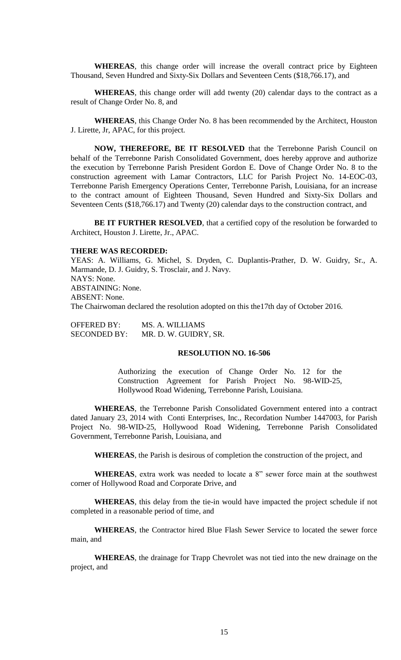**WHEREAS**, this change order will increase the overall contract price by Eighteen Thousand, Seven Hundred and Sixty-Six Dollars and Seventeen Cents (\$18,766.17), and

**WHEREAS**, this change order will add twenty (20) calendar days to the contract as a result of Change Order No. 8, and

**WHEREAS**, this Change Order No. 8 has been recommended by the Architect, Houston J. Lirette, Jr, APAC, for this project.

**NOW, THEREFORE, BE IT RESOLVED** that the Terrebonne Parish Council on behalf of the Terrebonne Parish Consolidated Government, does hereby approve and authorize the execution by Terrebonne Parish President Gordon E. Dove of Change Order No. 8 to the construction agreement with Lamar Contractors, LLC for Parish Project No. 14-EOC-03, Terrebonne Parish Emergency Operations Center, Terrebonne Parish, Louisiana, for an increase to the contract amount of Eighteen Thousand, Seven Hundred and Sixty-Six Dollars and Seventeen Cents (\$18,766.17) and Twenty (20) calendar days to the construction contract, and

BE IT FURTHER RESOLVED, that a certified copy of the resolution be forwarded to Architect, Houston J. Lirette, Jr., APAC.

#### **THERE WAS RECORDED:**

YEAS: A. Williams, G. Michel, S. Dryden, C. Duplantis-Prather, D. W. Guidry, Sr., A. Marmande, D. J. Guidry, S. Trosclair, and J. Navy. NAYS: None. ABSTAINING: None. ABSENT: None. The Chairwoman declared the resolution adopted on this the17th day of October 2016.

OFFERED BY: MS. A. WILLIAMS SECONDED BY: MR. D. W. GUIDRY, SR.

### **RESOLUTION NO. 16-506**

Authorizing the execution of Change Order No. 12 for the Construction Agreement for Parish Project No. 98-WID-25, Hollywood Road Widening, Terrebonne Parish, Louisiana.

**WHEREAS**, the Terrebonne Parish Consolidated Government entered into a contract dated January 23, 2014 with Conti Enterprises, Inc., Recordation Number 1447003, for Parish Project No. 98-WID-25, Hollywood Road Widening, Terrebonne Parish Consolidated Government, Terrebonne Parish, Louisiana, and

**WHEREAS**, the Parish is desirous of completion the construction of the project, and

**WHEREAS**, extra work was needed to locate a 8" sewer force main at the southwest corner of Hollywood Road and Corporate Drive, and

**WHEREAS**, this delay from the tie-in would have impacted the project schedule if not completed in a reasonable period of time, and

**WHEREAS**, the Contractor hired Blue Flash Sewer Service to located the sewer force main, and

**WHEREAS**, the drainage for Trapp Chevrolet was not tied into the new drainage on the project, and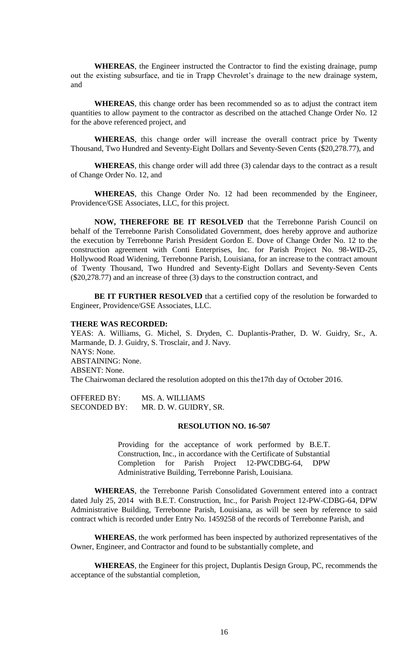**WHEREAS**, the Engineer instructed the Contractor to find the existing drainage, pump out the existing subsurface, and tie in Trapp Chevrolet's drainage to the new drainage system, and

**WHEREAS**, this change order has been recommended so as to adjust the contract item quantities to allow payment to the contractor as described on the attached Change Order No. 12 for the above referenced project, and

**WHEREAS**, this change order will increase the overall contract price by Twenty Thousand, Two Hundred and Seventy-Eight Dollars and Seventy-Seven Cents (\$20,278.77), and

**WHEREAS**, this change order will add three (3) calendar days to the contract as a result of Change Order No. 12, and

**WHEREAS**, this Change Order No. 12 had been recommended by the Engineer, Providence/GSE Associates, LLC, for this project.

**NOW, THEREFORE BE IT RESOLVED** that the Terrebonne Parish Council on behalf of the Terrebonne Parish Consolidated Government, does hereby approve and authorize the execution by Terrebonne Parish President Gordon E. Dove of Change Order No. 12 to the construction agreement with Conti Enterprises, Inc. for Parish Project No. 98-WID-25, Hollywood Road Widening, Terrebonne Parish, Louisiana, for an increase to the contract amount of Twenty Thousand, Two Hundred and Seventy-Eight Dollars and Seventy-Seven Cents (\$20,278.77) and an increase of three (3) days to the construction contract, and

**BE IT FURTHER RESOLVED** that a certified copy of the resolution be forwarded to Engineer, Providence/GSE Associates, LLC.

### **THERE WAS RECORDED:**

YEAS: A. Williams, G. Michel, S. Dryden, C. Duplantis-Prather, D. W. Guidry, Sr., A. Marmande, D. J. Guidry, S. Trosclair, and J. Navy. NAYS: None. ABSTAINING: None. ABSENT: None. The Chairwoman declared the resolution adopted on this the17th day of October 2016.

OFFERED BY: MS. A. WILLIAMS SECONDED BY: MR. D. W. GUIDRY, SR.

### **RESOLUTION NO. 16-507**

Providing for the acceptance of work performed by B.E.T. Construction, Inc., in accordance with the Certificate of Substantial Completion for Parish Project 12-PWCDBG-64, DPW Administrative Building, Terrebonne Parish, Louisiana.

**WHEREAS**, the Terrebonne Parish Consolidated Government entered into a contract dated July 25, 2014 with B.E.T. Construction, Inc., for Parish Project 12-PW-CDBG-64, DPW Administrative Building, Terrebonne Parish, Louisiana, as will be seen by reference to said contract which is recorded under Entry No. 1459258 of the records of Terrebonne Parish, and

**WHEREAS**, the work performed has been inspected by authorized representatives of the Owner, Engineer, and Contractor and found to be substantially complete, and

**WHEREAS**, the Engineer for this project, Duplantis Design Group, PC, recommends the acceptance of the substantial completion,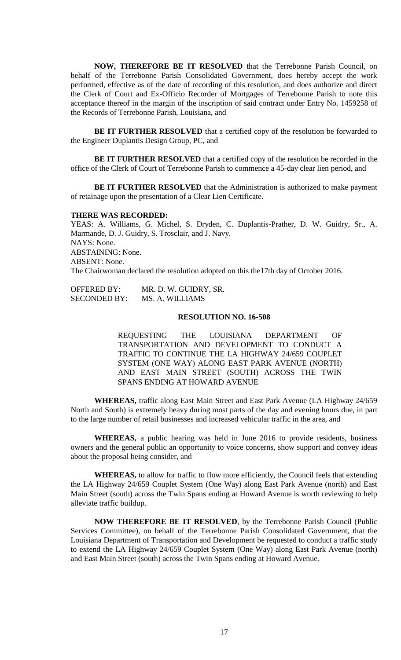**NOW, THEREFORE BE IT RESOLVED** that the Terrebonne Parish Council, on behalf of the Terrebonne Parish Consolidated Government, does hereby accept the work performed, effective as of the date of recording of this resolution, and does authorize and direct the Clerk of Court and Ex-Officio Recorder of Mortgages of Terrebonne Parish to note this acceptance thereof in the margin of the inscription of said contract under Entry No. 1459258 of the Records of Terrebonne Parish, Louisiana, and

**BE IT FURTHER RESOLVED** that a certified copy of the resolution be forwarded to the Engineer Duplantis Design Group, PC, and

**BE IT FURTHER RESOLVED** that a certified copy of the resolution be recorded in the office of the Clerk of Court of Terrebonne Parish to commence a 45-day clear lien period, and

**BE IT FURTHER RESOLVED** that the Administration is authorized to make payment of retainage upon the presentation of a Clear Lien Certificate.

#### **THERE WAS RECORDED:**

YEAS: A. Williams, G. Michel, S. Dryden, C. Duplantis-Prather, D. W. Guidry, Sr., A. Marmande, D. J. Guidry, S. Trosclair, and J. Navy. NAYS: None. ABSTAINING: None. ABSENT: None. The Chairwoman declared the resolution adopted on this the17th day of October 2016.

OFFERED BY: MR. D. W. GUIDRY, SR. SECONDED BY: MS. A. WILLIAMS

# **RESOLUTION NO. 16-508**

REQUESTING THE LOUISIANA DEPARTMENT OF TRANSPORTATION AND DEVELOPMENT TO CONDUCT A TRAFFIC TO CONTINUE THE LA HIGHWAY 24/659 COUPLET SYSTEM (ONE WAY) ALONG EAST PARK AVENUE (NORTH) AND EAST MAIN STREET (SOUTH) ACROSS THE TWIN SPANS ENDING AT HOWARD AVENUE

**WHEREAS,** traffic along East Main Street and East Park Avenue (LA Highway 24/659 North and South) is extremely heavy during most parts of the day and evening hours due, in part to the large number of retail businesses and increased vehicular traffic in the area, and

**WHEREAS,** a public hearing was held in June 2016 to provide residents, business owners and the general public an opportunity to voice concerns, show support and convey ideas about the proposal being consider, and

**WHEREAS,** to allow for traffic to flow more efficiently, the Council feels that extending the LA Highway 24/659 Couplet System (One Way) along East Park Avenue (north) and East Main Street (south) across the Twin Spans ending at Howard Avenue is worth reviewing to help alleviate traffic buildup.

**NOW THEREFORE BE IT RESOLVED**, by the Terrebonne Parish Council (Public Services Committee), on behalf of the Terrebonne Parish Consolidated Government, that the Louisiana Department of Transportation and Development be requested to conduct a traffic study to extend the LA Highway 24/659 Couplet System (One Way) along East Park Avenue (north) and East Main Street (south) across the Twin Spans ending at Howard Avenue.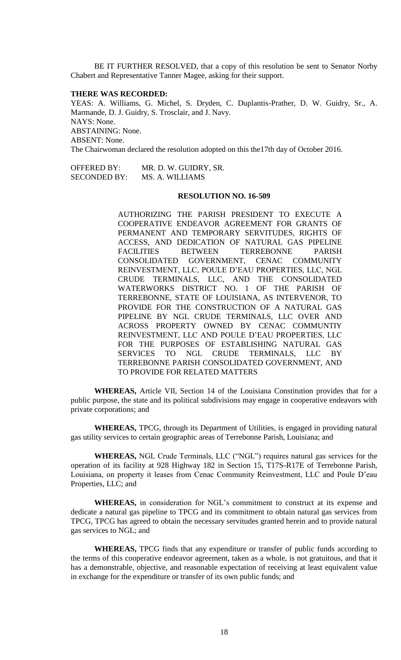BE IT FURTHER RESOLVED, that a copy of this resolution be sent to Senator Norby Chabert and Representative Tanner Magee, asking for their support.

#### **THERE WAS RECORDED:**

YEAS: A. Williams, G. Michel, S. Dryden, C. Duplantis-Prather, D. W. Guidry, Sr., A. Marmande, D. J. Guidry, S. Trosclair, and J. Navy. NAYS: None. ABSTAINING: None. ABSENT: None. The Chairwoman declared the resolution adopted on this the17th day of October 2016.

OFFERED BY: MR. D. W. GUIDRY, SR. SECONDED BY: MS. A. WILLIAMS

# **RESOLUTION NO. 16-509**

AUTHORIZING THE PARISH PRESIDENT TO EXECUTE A COOPERATIVE ENDEAVOR AGREEMENT FOR GRANTS OF PERMANENT AND TEMPORARY SERVITUDES, RIGHTS OF ACCESS, AND DEDICATION OF NATURAL GAS PIPELINE FACILITIES BETWEEN TERREBONNE PARISH CONSOLIDATED GOVERNMENT, CENAC COMMUNITY REINVESTMENT, LLC, POULE D'EAU PROPERTIES, LLC, NGL CRUDE TERMINALS, LLC, AND THE CONSOLIDATED WATERWORKS DISTRICT NO. 1 OF THE PARISH OF TERREBONNE, STATE OF LOUISIANA, AS INTERVENOR, TO PROVIDE FOR THE CONSTRUCTION OF A NATURAL GAS PIPELINE BY NGL CRUDE TERMINALS, LLC OVER AND ACROSS PROPERTY OWNED BY CENAC COMMUNTIY REINVESTMENT, LLC AND POULE D'EAU PROPERTIES, LLC FOR THE PURPOSES OF ESTABLISHING NATURAL GAS SERVICES TO NGL CRUDE TERMINALS, LLC BY TERREBONNE PARISH CONSOLIDATED GOVERNMENT, AND TO PROVIDE FOR RELATED MATTERS

**WHEREAS,** Article VII, Section 14 of the Louisiana Constitution provides that for a public purpose, the state and its political subdivisions may engage in cooperative endeavors with private corporations; and

**WHEREAS,** TPCG, through its Department of Utilities, is engaged in providing natural gas utility services to certain geographic areas of Terrebonne Parish, Louisiana; and

**WHEREAS,** NGL Crude Terminals, LLC ("NGL") requires natural gas services for the operation of its facility at 928 Highway 182 in Section 15, T17S-R17E of Terrebonne Parish, Louisiana, on property it leases from Cenac Community Reinvestment, LLC and Poule D'eau Properties, LLC; and

**WHEREAS,** in consideration for NGL's commitment to construct at its expense and dedicate a natural gas pipeline to TPCG and its commitment to obtain natural gas services from TPCG, TPCG has agreed to obtain the necessary servitudes granted herein and to provide natural gas services to NGL; and

**WHEREAS,** TPCG finds that any expenditure or transfer of public funds according to the terms of this cooperative endeavor agreement, taken as a whole, is not gratuitous, and that it has a demonstrable, objective, and reasonable expectation of receiving at least equivalent value in exchange for the expenditure or transfer of its own public funds; and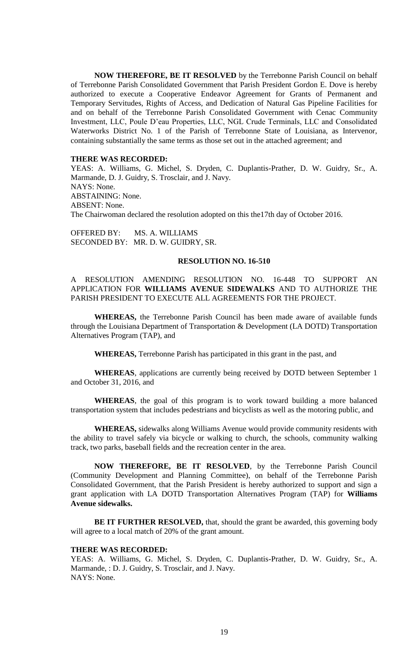**NOW THEREFORE, BE IT RESOLVED** by the Terrebonne Parish Council on behalf of Terrebonne Parish Consolidated Government that Parish President Gordon E. Dove is hereby authorized to execute a Cooperative Endeavor Agreement for Grants of Permanent and Temporary Servitudes, Rights of Access, and Dedication of Natural Gas Pipeline Facilities for and on behalf of the Terrebonne Parish Consolidated Government with Cenac Community Investment, LLC, Poule D'eau Properties, LLC, NGL Crude Terminals, LLC and Consolidated Waterworks District No. 1 of the Parish of Terrebonne State of Louisiana, as Intervenor, containing substantially the same terms as those set out in the attached agreement; and

### **THERE WAS RECORDED:**

YEAS: A. Williams, G. Michel, S. Dryden, C. Duplantis-Prather, D. W. Guidry, Sr., A. Marmande, D. J. Guidry, S. Trosclair, and J. Navy. NAYS: None. ABSTAINING: None. ABSENT: None. The Chairwoman declared the resolution adopted on this the17th day of October 2016.

OFFERED BY: MS. A. WILLIAMS SECONDED BY: MR. D. W. GUIDRY, SR.

### **RESOLUTION NO. 16-510**

A RESOLUTION AMENDING RESOLUTION NO. 16-448 TO SUPPORT AN APPLICATION FOR **WILLIAMS AVENUE SIDEWALKS** AND TO AUTHORIZE THE PARISH PRESIDENT TO EXECUTE ALL AGREEMENTS FOR THE PROJECT.

**WHEREAS,** the Terrebonne Parish Council has been made aware of available funds through the Louisiana Department of Transportation & Development (LA DOTD) Transportation Alternatives Program (TAP), and

**WHEREAS,** Terrebonne Parish has participated in this grant in the past, and

**WHEREAS**, applications are currently being received by DOTD between September 1 and October 31, 2016, and

**WHEREAS**, the goal of this program is to work toward building a more balanced transportation system that includes pedestrians and bicyclists as well as the motoring public, and

**WHEREAS,** sidewalks along Williams Avenue would provide community residents with the ability to travel safely via bicycle or walking to church, the schools, community walking track, two parks, baseball fields and the recreation center in the area.

**NOW THEREFORE, BE IT RESOLVED**, by the Terrebonne Parish Council (Community Development and Planning Committee), on behalf of the Terrebonne Parish Consolidated Government, that the Parish President is hereby authorized to support and sign a grant application with LA DOTD Transportation Alternatives Program (TAP) for **Williams Avenue sidewalks.**

**BE IT FURTHER RESOLVED,** that, should the grant be awarded, this governing body will agree to a local match of 20% of the grant amount.

#### **THERE WAS RECORDED:**

YEAS: A. Williams, G. Michel, S. Dryden, C. Duplantis-Prather, D. W. Guidry, Sr., A. Marmande, : D. J. Guidry, S. Trosclair, and J. Navy. NAYS: None.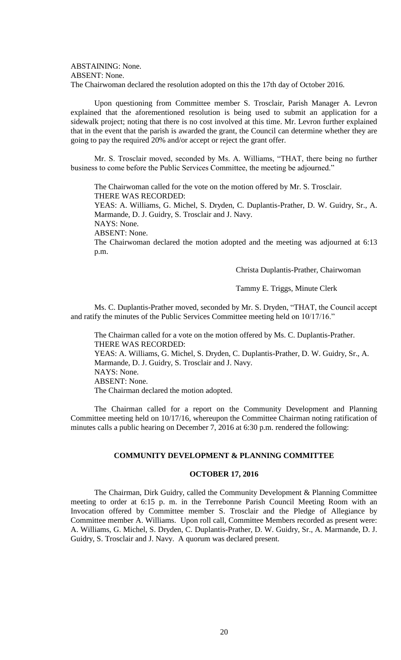ABSTAINING: None. ABSENT: None. The Chairwoman declared the resolution adopted on this the 17th day of October 2016.

Upon questioning from Committee member S. Trosclair, Parish Manager A. Levron explained that the aforementioned resolution is being used to submit an application for a sidewalk project; noting that there is no cost involved at this time. Mr. Levron further explained that in the event that the parish is awarded the grant, the Council can determine whether they are going to pay the required 20% and/or accept or reject the grant offer.

Mr. S. Trosclair moved, seconded by Ms. A. Williams, "THAT, there being no further business to come before the Public Services Committee, the meeting be adjourned."

The Chairwoman called for the vote on the motion offered by Mr. S. Trosclair. THERE WAS RECORDED:

YEAS: A. Williams, G. Michel, S. Dryden, C. Duplantis-Prather, D. W. Guidry, Sr., A. Marmande, D. J. Guidry, S. Trosclair and J. Navy.

NAYS: None. ABSENT: None.

The Chairwoman declared the motion adopted and the meeting was adjourned at 6:13 p.m.

Christa Duplantis-Prather, Chairwoman

Tammy E. Triggs, Minute Clerk

Ms. C. Duplantis-Prather moved, seconded by Mr. S. Dryden, "THAT, the Council accept and ratify the minutes of the Public Services Committee meeting held on 10/17/16."

The Chairman called for a vote on the motion offered by Ms. C. Duplantis-Prather. THERE WAS RECORDED:

YEAS: A. Williams, G. Michel, S. Dryden, C. Duplantis-Prather, D. W. Guidry, Sr., A. Marmande, D. J. Guidry, S. Trosclair and J. Navy. NAYS: None. ABSENT: None.

The Chairman declared the motion adopted.

The Chairman called for a report on the Community Development and Planning Committee meeting held on 10/17/16, whereupon the Committee Chairman noting ratification of minutes calls a public hearing on December 7, 2016 at 6:30 p.m. rendered the following:

### **COMMUNITY DEVELOPMENT & PLANNING COMMITTEE**

# **OCTOBER 17, 2016**

The Chairman, Dirk Guidry, called the Community Development & Planning Committee meeting to order at 6:15 p. m. in the Terrebonne Parish Council Meeting Room with an Invocation offered by Committee member S. Trosclair and the Pledge of Allegiance by Committee member A. Williams. Upon roll call, Committee Members recorded as present were: A. Williams, G. Michel, S. Dryden, C. Duplantis-Prather, D. W. Guidry, Sr., A. Marmande, D. J. Guidry, S. Trosclair and J. Navy. A quorum was declared present.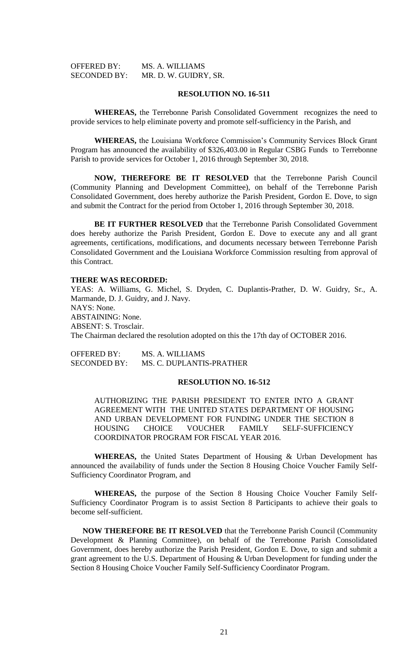| OFFERED BY:         | MS. A. WILLIAMS       |
|---------------------|-----------------------|
| <b>SECONDED BY:</b> | MR. D. W. GUIDRY, SR. |

### **RESOLUTION NO. 16-511**

**WHEREAS,** the Terrebonne Parish Consolidated Government recognizes the need to provide services to help eliminate poverty and promote self-sufficiency in the Parish, and

**WHEREAS,** the Louisiana Workforce Commission's Community Services Block Grant Program has announced the availability of \$326,403.00 in Regular CSBG Funds to Terrebonne Parish to provide services for October 1, 2016 through September 30, 2018.

**NOW, THEREFORE BE IT RESOLVED** that the Terrebonne Parish Council (Community Planning and Development Committee), on behalf of the Terrebonne Parish Consolidated Government, does hereby authorize the Parish President, Gordon E. Dove, to sign and submit the Contract for the period from October 1, 2016 through September 30, 2018.

**BE IT FURTHER RESOLVED** that the Terrebonne Parish Consolidated Government does hereby authorize the Parish President, Gordon E. Dove to execute any and all grant agreements, certifications, modifications, and documents necessary between Terrebonne Parish Consolidated Government and the Louisiana Workforce Commission resulting from approval of this Contract.

#### **THERE WAS RECORDED:**

YEAS: A. Williams, G. Michel, S. Dryden, C. Duplantis-Prather, D. W. Guidry, Sr., A. Marmande, D. J. Guidry, and J. Navy. NAYS: None. ABSTAINING: None. ABSENT: S. Trosclair. The Chairman declared the resolution adopted on this the 17th day of OCTOBER 2016.

OFFERED BY: MS. A. WILLIAMS SECONDED BY: MS. C. DUPLANTIS-PRATHER

### **RESOLUTION NO. 16-512**

AUTHORIZING THE PARISH PRESIDENT TO ENTER INTO A GRANT AGREEMENT WITH THE UNITED STATES DEPARTMENT OF HOUSING AND URBAN DEVELOPMENT FOR FUNDING UNDER THE SECTION 8 HOUSING CHOICE VOUCHER FAMILY SELF-SUFFICIENCY COORDINATOR PROGRAM FOR FISCAL YEAR 2016.

**WHEREAS,** the United States Department of Housing & Urban Development has announced the availability of funds under the Section 8 Housing Choice Voucher Family Self-Sufficiency Coordinator Program, and

**WHEREAS,** the purpose of the Section 8 Housing Choice Voucher Family Self-Sufficiency Coordinator Program is to assist Section 8 Participants to achieve their goals to become self-sufficient.

**NOW THEREFORE BE IT RESOLVED** that the Terrebonne Parish Council (Community Development & Planning Committee), on behalf of the Terrebonne Parish Consolidated Government, does hereby authorize the Parish President, Gordon E. Dove, to sign and submit a grant agreement to the U.S. Department of Housing & Urban Development for funding under the Section 8 Housing Choice Voucher Family Self-Sufficiency Coordinator Program.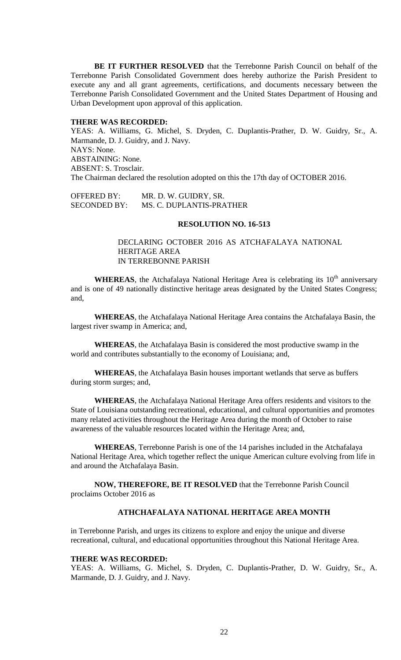**BE IT FURTHER RESOLVED** that the Terrebonne Parish Council on behalf of the Terrebonne Parish Consolidated Government does hereby authorize the Parish President to execute any and all grant agreements, certifications, and documents necessary between the Terrebonne Parish Consolidated Government and the United States Department of Housing and Urban Development upon approval of this application.

# **THERE WAS RECORDED:**

YEAS: A. Williams, G. Michel, S. Dryden, C. Duplantis-Prather, D. W. Guidry, Sr., A. Marmande, D. J. Guidry, and J. Navy. NAYS: None. ABSTAINING: None. ABSENT: S. Trosclair. The Chairman declared the resolution adopted on this the 17th day of OCTOBER 2016.

OFFERED BY: MR. D. W. GUIDRY, SR. SECONDED BY: MS. C. DUPLANTIS-PRATHER

#### **RESOLUTION NO. 16-513**

DECLARING OCTOBER 2016 AS ATCHAFALAYA NATIONAL HERITAGE AREA IN TERREBONNE PARISH

**WHEREAS**, the Atchafalaya National Heritage Area is celebrating its  $10<sup>th</sup>$  anniversary and is one of 49 nationally distinctive heritage areas designated by the United States Congress; and,

**WHEREAS**, the Atchafalaya National Heritage Area contains the Atchafalaya Basin, the largest river swamp in America; and,

**WHEREAS**, the Atchafalaya Basin is considered the most productive swamp in the world and contributes substantially to the economy of Louisiana; and,

**WHEREAS**, the Atchafalaya Basin houses important wetlands that serve as buffers during storm surges; and,

**WHEREAS**, the Atchafalaya National Heritage Area offers residents and visitors to the State of Louisiana outstanding recreational, educational, and cultural opportunities and promotes many related activities throughout the Heritage Area during the month of October to raise awareness of the valuable resources located within the Heritage Area; and,

**WHEREAS**, Terrebonne Parish is one of the 14 parishes included in the Atchafalaya National Heritage Area, which together reflect the unique American culture evolving from life in and around the Atchafalaya Basin.

**NOW, THEREFORE, BE IT RESOLVED** that the Terrebonne Parish Council proclaims October 2016 as

# **ATHCHAFALAYA NATIONAL HERITAGE AREA MONTH**

in Terrebonne Parish, and urges its citizens to explore and enjoy the unique and diverse recreational, cultural, and educational opportunities throughout this National Heritage Area.

#### **THERE WAS RECORDED:**

YEAS: A. Williams, G. Michel, S. Dryden, C. Duplantis-Prather, D. W. Guidry, Sr., A. Marmande, D. J. Guidry, and J. Navy.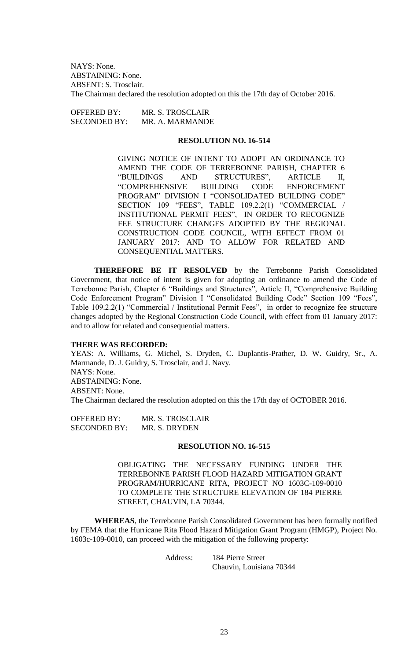NAYS: None. ABSTAINING: None. ABSENT: S. Trosclair. The Chairman declared the resolution adopted on this the 17th day of October 2016.

| <b>OFFERED BY:</b>  | MR. S. TROSCLAIR |
|---------------------|------------------|
| <b>SECONDED BY:</b> | MR. A. MARMANDE  |

#### **RESOLUTION NO. 16-514**

GIVING NOTICE OF INTENT TO ADOPT AN ORDINANCE TO AMEND THE CODE OF TERREBONNE PARISH, CHAPTER 6 "BUILDINGS AND STRUCTURES", ARTICLE II, "COMPREHENSIVE BUILDING CODE ENFORCEMENT PROGRAM" DIVISION I "CONSOLIDATED BUILDING CODE" SECTION 109 "FEES", TABLE 109.2.2(1) "COMMERCIAL / INSTITUTIONAL PERMIT FEES", IN ORDER TO RECOGNIZE FEE STRUCTURE CHANGES ADOPTED BY THE REGIONAL CONSTRUCTION CODE COUNCIL, WITH EFFECT FROM 01 JANUARY 2017: AND TO ALLOW FOR RELATED AND CONSEQUENTIAL MATTERS.

**THEREFORE BE IT RESOLVED** by the Terrebonne Parish Consolidated Government, that notice of intent is given for adopting an ordinance to amend the Code of Terrebonne Parish, Chapter 6 "Buildings and Structures", Article II, "Comprehensive Building Code Enforcement Program" Division I "Consolidated Building Code" Section 109 "Fees", Table 109.2.2(1) "Commercial / Institutional Permit Fees", in order to recognize fee structure changes adopted by the Regional Construction Code Council, with effect from 01 January 2017: and to allow for related and consequential matters.

### **THERE WAS RECORDED:**

YEAS: A. Williams, G. Michel, S. Dryden, C. Duplantis-Prather, D. W. Guidry, Sr., A. Marmande, D. J. Guidry, S. Trosclair, and J. Navy. NAYS: None. ABSTAINING: None. ABSENT: None. The Chairman declared the resolution adopted on this the 17th day of OCTOBER 2016.

OFFERED BY: MR. S. TROSCLAIR SECONDED BY: MR. S. DRYDEN

### **RESOLUTION NO. 16-515**

OBLIGATING THE NECESSARY FUNDING UNDER THE TERREBONNE PARISH FLOOD HAZARD MITIGATION GRANT PROGRAM/HURRICANE RITA, PROJECT NO 1603C-109-0010 TO COMPLETE THE STRUCTURE ELEVATION OF 184 PIERRE STREET, CHAUVIN, LA 70344.

**WHEREAS**, the Terrebonne Parish Consolidated Government has been formally notified by FEMA that the Hurricane Rita Flood Hazard Mitigation Grant Program (HMGP), Project No. 1603c-109-0010, can proceed with the mitigation of the following property:

Address: 184 Pierre Street

Chauvin, Louisiana 70344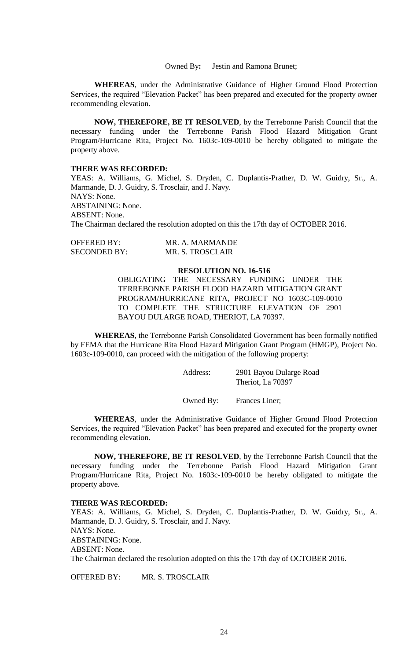Owned By**:** Jestin and Ramona Brunet;

**WHEREAS**, under the Administrative Guidance of Higher Ground Flood Protection Services, the required "Elevation Packet" has been prepared and executed for the property owner recommending elevation.

**NOW, THEREFORE, BE IT RESOLVED**, by the Terrebonne Parish Council that the necessary funding under the Terrebonne Parish Flood Hazard Mitigation Grant Program/Hurricane Rita, Project No. 1603c-109-0010 be hereby obligated to mitigate the property above.

#### **THERE WAS RECORDED:**

YEAS: A. Williams, G. Michel, S. Dryden, C. Duplantis-Prather, D. W. Guidry, Sr., A. Marmande, D. J. Guidry, S. Trosclair, and J. Navy. NAYS: None. ABSTAINING: None. ABSENT: None. The Chairman declared the resolution adopted on this the 17th day of OCTOBER 2016.

| OFFERED BY:         | MR. A. MARMANDE  |
|---------------------|------------------|
| <b>SECONDED BY:</b> | MR. S. TROSCLAIR |

### **RESOLUTION NO. 16-516**

OBLIGATING THE NECESSARY FUNDING UNDER THE TERREBONNE PARISH FLOOD HAZARD MITIGATION GRANT PROGRAM/HURRICANE RITA, PROJECT NO 1603C-109-0010 TO COMPLETE THE STRUCTURE ELEVATION OF 2901 BAYOU DULARGE ROAD, THERIOT, LA 70397.

**WHEREAS**, the Terrebonne Parish Consolidated Government has been formally notified by FEMA that the Hurricane Rita Flood Hazard Mitigation Grant Program (HMGP), Project No. 1603c-109-0010, can proceed with the mitigation of the following property:

| Address: | 2901 Bayou Dularge Road |
|----------|-------------------------|
|          | Theriot, La 70397       |

Owned By: Frances Liner;

**WHEREAS**, under the Administrative Guidance of Higher Ground Flood Protection Services, the required "Elevation Packet" has been prepared and executed for the property owner recommending elevation.

**NOW, THEREFORE, BE IT RESOLVED**, by the Terrebonne Parish Council that the necessary funding under the Terrebonne Parish Flood Hazard Mitigation Grant Program/Hurricane Rita, Project No. 1603c-109-0010 be hereby obligated to mitigate the property above.

### **THERE WAS RECORDED:**

YEAS: A. Williams, G. Michel, S. Dryden, C. Duplantis-Prather, D. W. Guidry, Sr., A. Marmande, D. J. Guidry, S. Trosclair, and J. Navy. NAYS: None. ABSTAINING: None. ABSENT: None. The Chairman declared the resolution adopted on this the 17th day of OCTOBER 2016.

OFFERED BY: MR. S. TROSCLAIR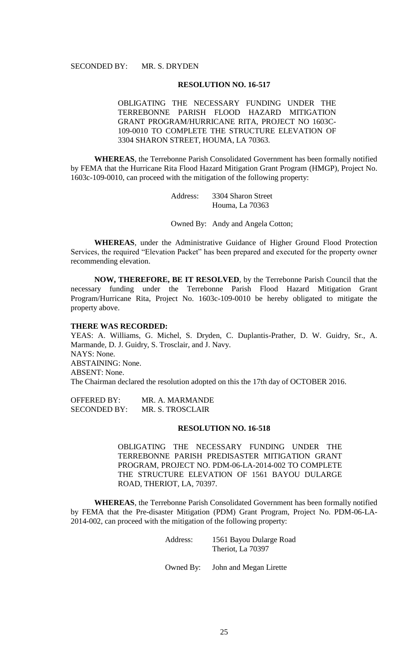### **RESOLUTION NO. 16-517**

OBLIGATING THE NECESSARY FUNDING UNDER THE TERREBONNE PARISH FLOOD HAZARD MITIGATION GRANT PROGRAM/HURRICANE RITA, PROJECT NO 1603C-109-0010 TO COMPLETE THE STRUCTURE ELEVATION OF 3304 SHARON STREET, HOUMA, LA 70363.

**WHEREAS**, the Terrebonne Parish Consolidated Government has been formally notified by FEMA that the Hurricane Rita Flood Hazard Mitigation Grant Program (HMGP), Project No. 1603c-109-0010, can proceed with the mitigation of the following property:

> Address: 3304 Sharon Street Houma, La 70363

Owned By: Andy and Angela Cotton;

**WHEREAS**, under the Administrative Guidance of Higher Ground Flood Protection Services, the required "Elevation Packet" has been prepared and executed for the property owner recommending elevation.

**NOW, THEREFORE, BE IT RESOLVED**, by the Terrebonne Parish Council that the necessary funding under the Terrebonne Parish Flood Hazard Mitigation Grant Program/Hurricane Rita, Project No. 1603c-109-0010 be hereby obligated to mitigate the property above.

### **THERE WAS RECORDED:**

YEAS: A. Williams, G. Michel, S. Dryden, C. Duplantis-Prather, D. W. Guidry, Sr., A. Marmande, D. J. Guidry, S. Trosclair, and J. Navy. NAYS: None. ABSTAINING: None. ABSENT: None. The Chairman declared the resolution adopted on this the 17th day of OCTOBER 2016.

OFFERED BY: MR. A. MARMANDE SECONDED BY: MR. S. TROSCLAIR

### **RESOLUTION NO. 16-518**

OBLIGATING THE NECESSARY FUNDING UNDER THE TERREBONNE PARISH PREDISASTER MITIGATION GRANT PROGRAM, PROJECT NO. PDM-06-LA-2014-002 TO COMPLETE THE STRUCTURE ELEVATION OF 1561 BAYOU DULARGE ROAD, THERIOT, LA, 70397.

**WHEREAS**, the Terrebonne Parish Consolidated Government has been formally notified by FEMA that the Pre-disaster Mitigation (PDM) Grant Program, Project No. PDM-06-LA-2014-002, can proceed with the mitigation of the following property:

| Address: | 1561 Bayou Dularge Road |
|----------|-------------------------|
|          | Theriot, La 70397       |

Owned By: John and Megan Lirette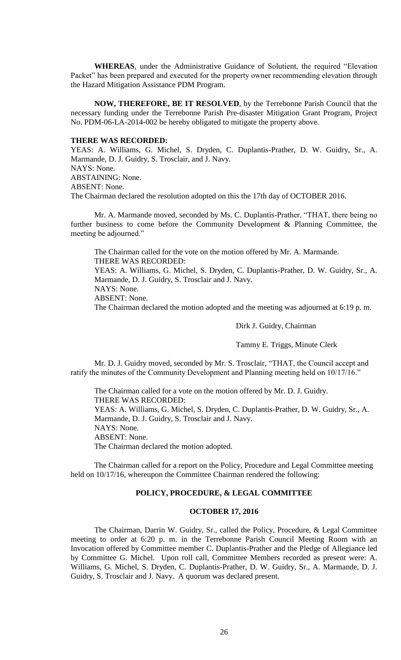**WHEREAS**, under the Administrative Guidance of Solutient, the required "Elevation Packet" has been prepared and executed for the property owner recommending elevation through the Hazard Mitigation Assistance PDM Program.

**NOW, THEREFORE, BE IT RESOLVED**, by the Terrebonne Parish Council that the necessary funding under the Terrebonne Parish Pre-disaster Mitigation Grant Program, Project No. PDM-06-LA-2014-002 be hereby obligated to mitigate the property above.

#### **THERE WAS RECORDED:**

YEAS: A. Williams, G. Michel, S. Dryden, C. Duplantis-Prather, D. W. Guidry, Sr., A. Marmande, D. J. Guidry, S. Trosclair, and J. Navy. NAYS: None. ABSTAINING: None. ABSENT: None. The Chairman declared the resolution adopted on this the 17th day of OCTOBER 2016.

Mr. A. Marmande moved, seconded by Ms. C. Duplantis-Prather, "THAT, there being no further business to come before the Community Development & Planning Committee, the meeting be adjourned."

The Chairman called for the vote on the motion offered by Mr. A. Marmande. THERE WAS RECORDED:

YEAS: A. Williams, G. Michel, S. Dryden, C. Duplantis-Prather, D. W. Guidry, Sr., A. Marmande, D. J. Guidry, S. Trosclair and J. Navy.

NAYS: None.

ABSENT: None.

The Chairman declared the motion adopted and the meeting was adjourned at 6:19 p. m.

Dirk J. Guidry, Chairman

Tammy E. Triggs, Minute Clerk

Mr. D. J. Guidry moved, seconded by Mr. S. Trosclair, "THAT, the Council accept and ratify the minutes of the Community Development and Planning meeting held on 10/17/16."

The Chairman called for a vote on the motion offered by Mr. D. J. Guidry. THERE WAS RECORDED: YEAS: A. Williams, G. Michel, S. Dryden, C. Duplantis-Prather, D. W. Guidry, Sr., A. Marmande, D. J. Guidry, S. Trosclair and J. Navy. NAYS: None. ABSENT: None. The Chairman declared the motion adopted.

The Chairman called for a report on the Policy, Procedure and Legal Committee meeting held on 10/17/16, whereupon the Committee Chairman rendered the following:

# **POLICY, PROCEDURE, & LEGAL COMMITTEE**

### **OCTOBER 17, 2016**

The Chairman, Darrin W. Guidry, Sr., called the Policy, Procedure, & Legal Committee meeting to order at 6:20 p. m. in the Terrebonne Parish Council Meeting Room with an Invocation offered by Committee member C. Duplantis-Prather and the Pledge of Allegiance led by Committee G. Michel. Upon roll call, Committee Members recorded as present were: A. Williams, G. Michel, S. Dryden, C. Duplantis-Prather, D. W. Guidry, Sr., A. Marmande, D. J. Guidry, S. Trosclair and J. Navy. A quorum was declared present.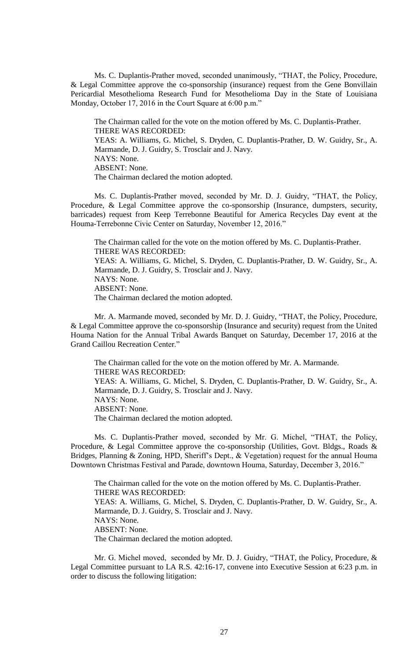Ms. C. Duplantis-Prather moved, seconded unanimously, "THAT, the Policy, Procedure, & Legal Committee approve the co-sponsorship (insurance) request from the Gene Bonvillain Pericardial Mesothelioma Research Fund for Mesothelioma Day in the State of Louisiana Monday, October 17, 2016 in the Court Square at 6:00 p.m."

The Chairman called for the vote on the motion offered by Ms. C. Duplantis-Prather. THERE WAS RECORDED: YEAS: A. Williams, G. Michel, S. Dryden, C. Duplantis-Prather, D. W. Guidry, Sr., A. Marmande, D. J. Guidry, S. Trosclair and J. Navy. NAYS: None. ABSENT: None. The Chairman declared the motion adopted.

Ms. C. Duplantis-Prather moved, seconded by Mr. D. J. Guidry, "THAT, the Policy, Procedure, & Legal Committee approve the co-sponsorship (Insurance, dumpsters, security, barricades) request from Keep Terrebonne Beautiful for America Recycles Day event at the Houma-Terrebonne Civic Center on Saturday, November 12, 2016."

The Chairman called for the vote on the motion offered by Ms. C. Duplantis-Prather. THERE WAS RECORDED: YEAS: A. Williams, G. Michel, S. Dryden, C. Duplantis-Prather, D. W. Guidry, Sr., A. Marmande, D. J. Guidry, S. Trosclair and J. Navy. NAYS: None. ABSENT: None.

The Chairman declared the motion adopted.

Mr. A. Marmande moved, seconded by Mr. D. J. Guidry, "THAT, the Policy, Procedure, & Legal Committee approve the co-sponsorship (Insurance and security) request from the United Houma Nation for the Annual Tribal Awards Banquet on Saturday, December 17, 2016 at the Grand Caillou Recreation Center."

The Chairman called for the vote on the motion offered by Mr. A. Marmande. THERE WAS RECORDED: YEAS: A. Williams, G. Michel, S. Dryden, C. Duplantis-Prather, D. W. Guidry, Sr., A. Marmande, D. J. Guidry, S. Trosclair and J. Navy. NAYS: None. ABSENT: None. The Chairman declared the motion adopted.

Ms. C. Duplantis-Prather moved, seconded by Mr. G. Michel, "THAT, the Policy, Procedure, & Legal Committee approve the co-sponsorship (Utilities, Govt. Bldgs., Roads & Bridges, Planning & Zoning, HPD, Sheriff's Dept., & Vegetation) request for the annual Houma Downtown Christmas Festival and Parade, downtown Houma, Saturday, December 3, 2016."

The Chairman called for the vote on the motion offered by Ms. C. Duplantis-Prather. THERE WAS RECORDED: YEAS: A. Williams, G. Michel, S. Dryden, C. Duplantis-Prather, D. W. Guidry, Sr., A. Marmande, D. J. Guidry, S. Trosclair and J. Navy. NAYS: None. ABSENT: None. The Chairman declared the motion adopted.

Mr. G. Michel moved, seconded by Mr. D. J. Guidry, "THAT, the Policy, Procedure, & Legal Committee pursuant to LA R.S. 42:16-17, convene into Executive Session at 6:23 p.m. in order to discuss the following litigation: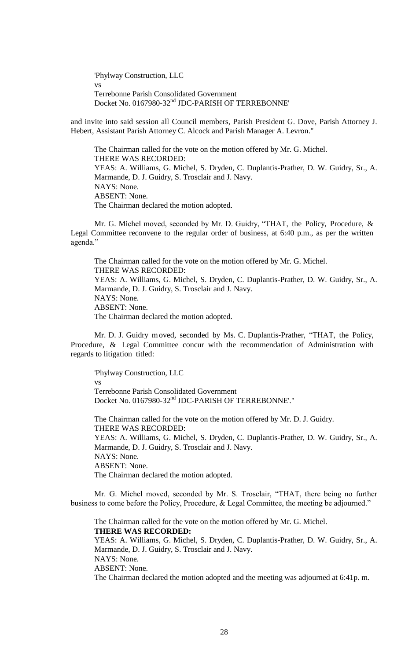'Phylway Construction, LLC vs Terrebonne Parish Consolidated Government Docket No. 0167980-32<sup>nd</sup> JDC-PARISH OF TERREBONNE'

and invite into said session all Council members, Parish President G. Dove, Parish Attorney J. Hebert, Assistant Parish Attorney C. Alcock and Parish Manager A. Levron."

The Chairman called for the vote on the motion offered by Mr. G. Michel. THERE WAS RECORDED: YEAS: A. Williams, G. Michel, S. Dryden, C. Duplantis-Prather, D. W. Guidry, Sr., A. Marmande, D. J. Guidry, S. Trosclair and J. Navy. NAYS: None. ABSENT: None. The Chairman declared the motion adopted.

Mr. G. Michel moved, seconded by Mr. D. Guidry, "THAT, the Policy, Procedure, & Legal Committee reconvene to the regular order of business, at 6:40 p.m., as per the written agenda."

The Chairman called for the vote on the motion offered by Mr. G. Michel. THERE WAS RECORDED: YEAS: A. Williams, G. Michel, S. Dryden, C. Duplantis-Prather, D. W. Guidry, Sr., A. Marmande, D. J. Guidry, S. Trosclair and J. Navy. NAYS: None. ABSENT: None. The Chairman declared the motion adopted.

Mr. D. J. Guidry moved, seconded by Ms. C. Duplantis-Prather, "THAT, the Policy, Procedure, & Legal Committee concur with the recommendation of Administration with regards to litigation titled:

'Phylway Construction, LLC vs Terrebonne Parish Consolidated Government Docket No. 0167980-32nd JDC-PARISH OF TERREBONNE'."

The Chairman called for the vote on the motion offered by Mr. D. J. Guidry. THERE WAS RECORDED: YEAS: A. Williams, G. Michel, S. Dryden, C. Duplantis-Prather, D. W. Guidry, Sr., A. Marmande, D. J. Guidry, S. Trosclair and J. Navy. NAYS: None. ABSENT: None. The Chairman declared the motion adopted.

Mr. G. Michel moved, seconded by Mr. S. Trosclair, "THAT, there being no further business to come before the Policy, Procedure, & Legal Committee, the meeting be adjourned."

The Chairman called for the vote on the motion offered by Mr. G. Michel. **THERE WAS RECORDED:** YEAS: A. Williams, G. Michel, S. Dryden, C. Duplantis-Prather, D. W. Guidry, Sr., A. Marmande, D. J. Guidry, S. Trosclair and J. Navy. NAYS: None. ABSENT: None. The Chairman declared the motion adopted and the meeting was adjourned at 6:41p. m.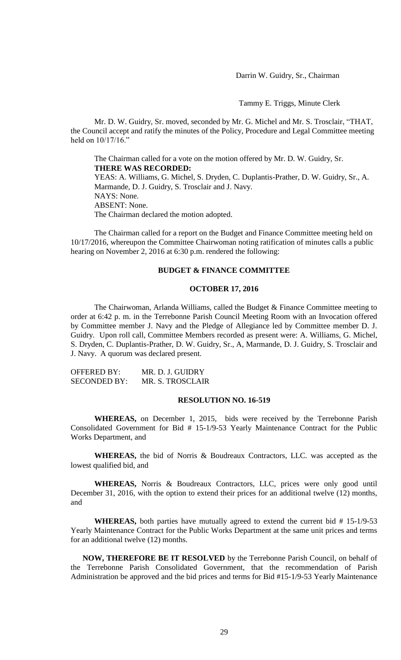Darrin W. Guidry, Sr., Chairman

Tammy E. Triggs, Minute Clerk

Mr. D. W. Guidry, Sr. moved, seconded by Mr. G. Michel and Mr. S. Trosclair, "THAT, the Council accept and ratify the minutes of the Policy, Procedure and Legal Committee meeting held on 10/17/16."

The Chairman called for a vote on the motion offered by Mr. D. W. Guidry, Sr. **THERE WAS RECORDED:** YEAS: A. Williams, G. Michel, S. Dryden, C. Duplantis-Prather, D. W. Guidry, Sr., A. Marmande, D. J. Guidry, S. Trosclair and J. Navy. NAYS: None. ABSENT: None. The Chairman declared the motion adopted.

The Chairman called for a report on the Budget and Finance Committee meeting held on 10/17/2016, whereupon the Committee Chairwoman noting ratification of minutes calls a public hearing on November 2, 2016 at 6:30 p.m. rendered the following:

### **BUDGET & FINANCE COMMITTEE**

#### **OCTOBER 17, 2016**

The Chairwoman, Arlanda Williams, called the Budget & Finance Committee meeting to order at 6:42 p. m. in the Terrebonne Parish Council Meeting Room with an Invocation offered by Committee member J. Navy and the Pledge of Allegiance led by Committee member D. J. Guidry. Upon roll call, Committee Members recorded as present were: A. Williams, G. Michel, S. Dryden, C. Duplantis-Prather, D. W. Guidry, Sr., A, Marmande, D. J. Guidry, S. Trosclair and J. Navy. A quorum was declared present.

| OFFERED BY:         | MR. D. J. GUIDRY |
|---------------------|------------------|
| <b>SECONDED BY:</b> | MR. S. TROSCLAIR |

# **RESOLUTION NO. 16-519**

**WHEREAS,** on December 1, 2015, bids were received by the Terrebonne Parish Consolidated Government for Bid # 15-1/9-53 Yearly Maintenance Contract for the Public Works Department, and

**WHEREAS,** the bid of Norris & Boudreaux Contractors, LLC. was accepted as the lowest qualified bid, and

**WHEREAS,** Norris & Boudreaux Contractors, LLC, prices were only good until December 31, 2016, with the option to extend their prices for an additional twelve (12) months, and

**WHEREAS,** both parties have mutually agreed to extend the current bid # 15-1/9-53 Yearly Maintenance Contract for the Public Works Department at the same unit prices and terms for an additional twelve (12) months.

**NOW, THEREFORE BE IT RESOLVED** by the Terrebonne Parish Council, on behalf of the Terrebonne Parish Consolidated Government, that the recommendation of Parish Administration be approved and the bid prices and terms for Bid #15-1/9-53 Yearly Maintenance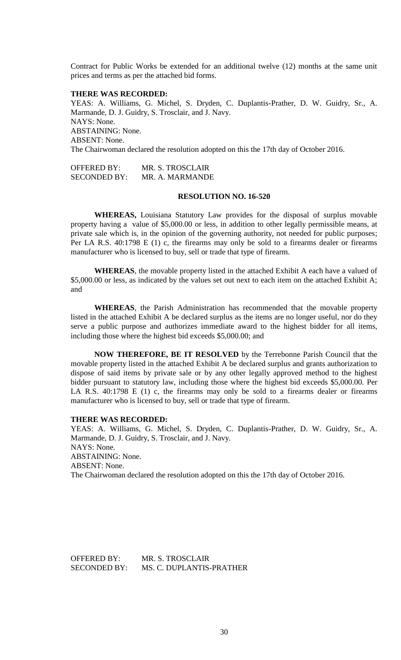Contract for Public Works be extended for an additional twelve (12) months at the same unit prices and terms as per the attached bid forms.

#### **THERE WAS RECORDED:**

YEAS: A. Williams, G. Michel, S. Dryden, C. Duplantis-Prather, D. W. Guidry, Sr., A. Marmande, D. J. Guidry, S. Trosclair, and J. Navy. NAYS: None. ABSTAINING: None. ABSENT: None. The Chairwoman declared the resolution adopted on this the 17th day of October 2016.

OFFERED BY: MR. S. TROSCLAIR SECONDED BY: MR. A. MARMANDE

### **RESOLUTION NO. 16-520**

**WHEREAS,** Louisiana Statutory Law provides for the disposal of surplus movable property having a value of \$5,000.00 or less, in addition to other legally permissible means, at private sale which is, in the opinion of the governing authority, not needed for public purposes; Per LA R.S. 40:1798 E (1) c, the firearms may only be sold to a firearms dealer or firearms manufacturer who is licensed to buy, sell or trade that type of firearm.

**WHEREAS**, the movable property listed in the attached Exhibit A each have a valued of \$5,000.00 or less, as indicated by the values set out next to each item on the attached Exhibit A; and

**WHEREAS**, the Parish Administration has recommended that the movable property listed in the attached Exhibit A be declared surplus as the items are no longer useful, nor do they serve a public purpose and authorizes immediate award to the highest bidder for all items, including those where the highest bid exceeds \$5,000.00; and

**NOW THEREFORE, BE IT RESOLVED** by the Terrebonne Parish Council that the movable property listed in the attached Exhibit A be declared surplus and grants authorization to dispose of said items by private sale or by any other legally approved method to the highest bidder pursuant to statutory law, including those where the highest bid exceeds \$5,000.00. Per LA R.S. 40:1798 E (1) c, the firearms may only be sold to a firearms dealer or firearms manufacturer who is licensed to buy, sell or trade that type of firearm.

#### **THERE WAS RECORDED:**

YEAS: A. Williams, G. Michel, S. Dryden, C. Duplantis-Prather, D. W. Guidry, Sr., A. Marmande, D. J. Guidry, S. Trosclair, and J. Navy. NAYS: None. ABSTAINING: None. ABSENT: None. The Chairwoman declared the resolution adopted on this the 17th day of October 2016.

OFFERED BY: MR. S. TROSCLAIR SECONDED BY: MS. C. DUPLANTIS-PRATHER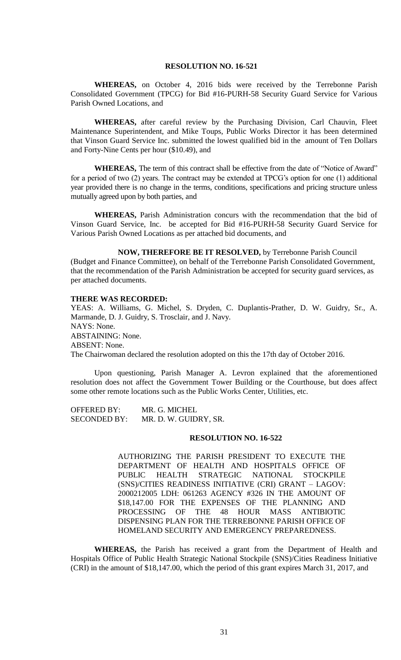### **RESOLUTION NO. 16-521**

**WHEREAS,** on October 4, 2016 bids were received by the Terrebonne Parish Consolidated Government (TPCG) for Bid #16-PURH-58 Security Guard Service for Various Parish Owned Locations, and

**WHEREAS,** after careful review by the Purchasing Division, Carl Chauvin, Fleet Maintenance Superintendent, and Mike Toups, Public Works Director it has been determined that Vinson Guard Service Inc. submitted the lowest qualified bid in the amount of Ten Dollars and Forty-Nine Cents per hour (\$10.49), and

**WHEREAS,** The term of this contract shall be effective from the date of "Notice of Award" for a period of two (2) years. The contract may be extended at TPCG's option for one (1) additional year provided there is no change in the terms, conditions, specifications and pricing structure unless mutually agreed upon by both parties, and

**WHEREAS,** Parish Administration concurs with the recommendation that the bid of Vinson Guard Service, Inc. be accepted for Bid #16-PURH-58 Security Guard Service for Various Parish Owned Locations as per attached bid documents, and

**NOW, THEREFORE BE IT RESOLVED,** by Terrebonne Parish Council (Budget and Finance Committee), on behalf of the Terrebonne Parish Consolidated Government, that the recommendation of the Parish Administration be accepted for security guard services, as per attached documents.

#### **THERE WAS RECORDED:**

YEAS: A. Williams, G. Michel, S. Dryden, C. Duplantis-Prather, D. W. Guidry, Sr., A. Marmande, D. J. Guidry, S. Trosclair, and J. Navy. NAYS: None. ABSTAINING: None. ABSENT: None. The Chairwoman declared the resolution adopted on this the 17th day of October 2016.

Upon questioning, Parish Manager A. Levron explained that the aforementioned resolution does not affect the Government Tower Building or the Courthouse, but does affect some other remote locations such as the Public Works Center, Utilities, etc.

OFFERED BY: MR. G. MICHEL SECONDED BY: MR. D. W. GUIDRY, SR.

### **RESOLUTION NO. 16-522**

AUTHORIZING THE PARISH PRESIDENT TO EXECUTE THE DEPARTMENT OF HEALTH AND HOSPITALS OFFICE OF PUBLIC HEALTH STRATEGIC NATIONAL STOCKPILE (SNS)/CITIES READINESS INITIATIVE (CRI) GRANT – LAGOV: 2000212005 LDH: 061263 AGENCY #326 IN THE AMOUNT OF \$18,147.00 FOR THE EXPENSES OF THE PLANNING AND PROCESSING OF THE 48 HOUR MASS ANTIBIOTIC DISPENSING PLAN FOR THE TERREBONNE PARISH OFFICE OF HOMELAND SECURITY AND EMERGENCY PREPAREDNESS.

**WHEREAS,** the Parish has received a grant from the Department of Health and Hospitals Office of Public Health Strategic National Stockpile (SNS)/Cities Readiness Initiative (CRI) in the amount of \$18,147.00, which the period of this grant expires March 31, 2017, and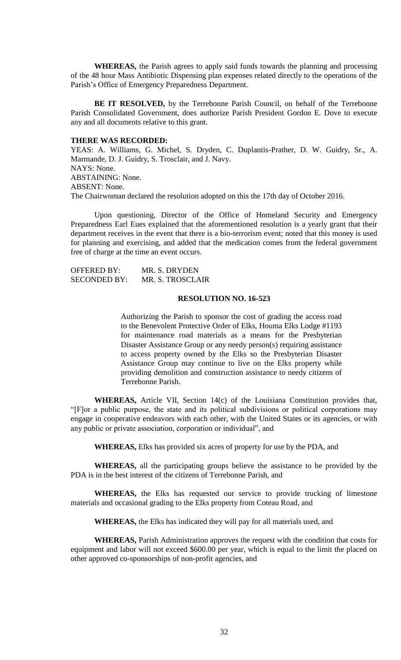**WHEREAS,** the Parish agrees to apply said funds towards the planning and processing of the 48 hour Mass Antibiotic Dispensing plan expenses related directly to the operations of the Parish's Office of Emergency Preparedness Department.

**BE IT RESOLVED,** by the Terrebonne Parish Council, on behalf of the Terrebonne Parish Consolidated Government, does authorize Parish President Gordon E. Dove to execute any and all documents relative to this grant.

#### **THERE WAS RECORDED:**

YEAS: A. Williams, G. Michel, S. Dryden, C. Duplantis-Prather, D. W. Guidry, Sr., A. Marmande, D. J. Guidry, S. Trosclair, and J. Navy. NAYS: None. ABSTAINING: None. ABSENT: None. The Chairwoman declared the resolution adopted on this the 17th day of October 2016.

Upon questioning, Director of the Office of Homeland Security and Emergency Preparedness Earl Eues explained that the aforementioned resolution is a yearly grant that their department receives in the event that there is a bio-terrorism event; noted that this money is used for planning and exercising, and added that the medication comes from the federal government free of charge at the time an event occurs.

OFFERED BY: MR. S. DRYDEN SECONDED BY: MR. S. TROSCLAIR

### **RESOLUTION NO. 16-523**

Authorizing the Parish to sponsor the cost of grading the access road to the Benevolent Protective Order of Elks, Houma Elks Lodge #1193 for maintenance road materials as a means for the Presbyterian Disaster Assistance Group or any needy person(s) requiring assistance to access property owned by the Elks so the Presbyterian Disaster Assistance Group may continue to live on the Elks property while providing demolition and construction assistance to needy citizens of Terrebonne Parish.

**WHEREAS,** Article VII, Section 14(c) of the Louisiana Constitution provides that, "[F]or a public purpose, the state and its political subdivisions or political corporations may engage in cooperative endeavors with each other, with the United States or its agencies, or with any public or private association, corporation or individual", and

**WHEREAS,** Elks has provided six acres of property for use by the PDA, and

**WHEREAS,** all the participating groups believe the assistance to be provided by the PDA is in the best interest of the citizens of Terrebonne Parish, and

**WHEREAS,** the Elks has requested our service to provide trucking of limestone materials and occasional grading to the Elks property from Coteau Road, and

**WHEREAS,** the Elks has indicated they will pay for all materials used, and

**WHEREAS,** Parish Administration approves the request with the condition that costs for equipment and labor will not exceed \$600.00 per year, which is equal to the limit the placed on other approved co-sponsorships of non-profit agencies, and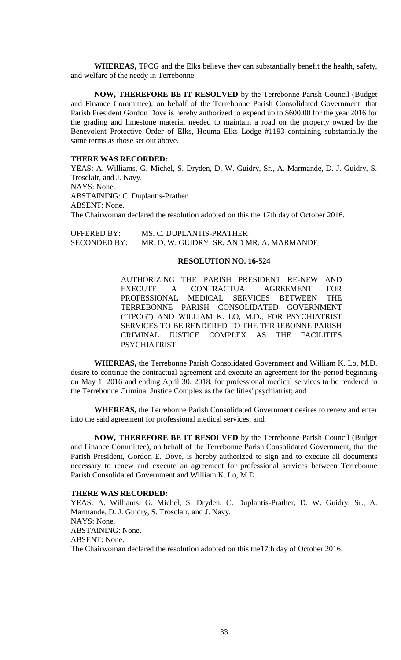**WHEREAS,** TPCG and the Elks believe they can substantially benefit the health, safety, and welfare of the needy in Terrebonne.

**NOW, THEREFORE BE IT RESOLVED** by the Terrebonne Parish Council (Budget and Finance Committee), on behalf of the Terrebonne Parish Consolidated Government, that Parish President Gordon Dove is hereby authorized to expend up to \$600.00 for the year 2016 for the grading and limestone material needed to maintain a road on the property owned by the Benevolent Protective Order of Elks, Houma Elks Lodge #1193 containing substantially the same terms as those set out above.

# **THERE WAS RECORDED:**

YEAS: A. Williams, G. Michel, S. Dryden, D. W. Guidry, Sr., A. Marmande, D. J. Guidry, S. Trosclair, and J. Navy. NAYS: None. ABSTAINING: C. Duplantis-Prather. ABSENT: None. The Chairwoman declared the resolution adopted on this the 17th day of October 2016.

OFFERED BY: MS. C. DUPLANTIS-PRATHER SECONDED BY: MR. D. W. GUIDRY, SR. AND MR. A. MARMANDE

# **RESOLUTION NO. 16-524**

AUTHORIZING THE PARISH PRESIDENT RE-NEW AND EXECUTE A CONTRACTUAL AGREEMENT FOR PROFESSIONAL MEDICAL SERVICES BETWEEN THE TERREBONNE PARISH CONSOLIDATED GOVERNMENT ("TPCG") AND WILLIAM K. LO, M.D., FOR PSYCHIATRIST SERVICES TO BE RENDERED TO THE TERREBONNE PARISH CRIMINAL JUSTICE COMPLEX AS THE FACILITIES PSYCHIATRIST

**WHEREAS,** the Terrebonne Parish Consolidated Government and William K. Lo, M.D. desire to continue the contractual agreement and execute an agreement for the period beginning on May 1, 2016 and ending April 30, 2018, for professional medical services to be rendered to the Terrebonne Criminal Justice Complex as the facilities' psychiatrist; and

**WHEREAS,** the Terrebonne Parish Consolidated Government desires to renew and enter into the said agreement for professional medical services; and

**NOW, THEREFORE BE IT RESOLVED** by the Terrebonne Parish Council (Budget and Finance Committee), on behalf of the Terrebonne Parish Consolidated Government, that the Parish President, Gordon E. Dove, is hereby authorized to sign and to execute all documents necessary to renew and execute an agreement for professional services between Terrebonne Parish Consolidated Government and William K. Lo, M.D.

### **THERE WAS RECORDED:**

YEAS: A. Williams, G. Michel, S. Dryden, C. Duplantis-Prather, D. W. Guidry, Sr., A. Marmande, D. J. Guidry, S. Trosclair, and J. Navy. NAYS: None. ABSTAINING: None. ABSENT: None. The Chairwoman declared the resolution adopted on this the17th day of October 2016.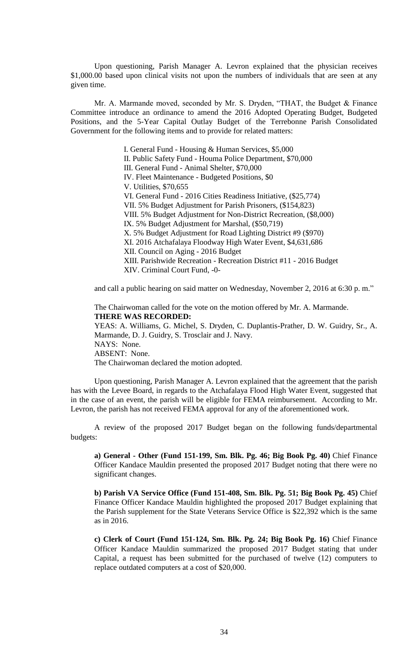Upon questioning, Parish Manager A. Levron explained that the physician receives \$1,000.00 based upon clinical visits not upon the numbers of individuals that are seen at any given time.

Mr. A. Marmande moved, seconded by Mr. S. Dryden, "THAT, the Budget & Finance Committee introduce an ordinance to amend the 2016 Adopted Operating Budget, Budgeted Positions, and the 5-Year Capital Outlay Budget of the Terrebonne Parish Consolidated Government for the following items and to provide for related matters:

> I. General Fund - Housing & Human Services, \$5,000 II. Public Safety Fund - Houma Police Department, \$70,000 III. General Fund - Animal Shelter, \$70,000 IV. Fleet Maintenance - Budgeted Positions, \$0 V. Utilities, \$70,655 VI. General Fund - 2016 Cities Readiness Initiative, (\$25,774) VII. 5% Budget Adjustment for Parish Prisoners, (\$154,823) VIII. 5% Budget Adjustment for Non-District Recreation, (\$8,000) IX. 5% Budget Adjustment for Marshal, (\$50,719) X. 5% Budget Adjustment for Road Lighting District #9 (\$970) XI. 2016 Atchafalaya Floodway High Water Event, \$4,631,686 XII. Council on Aging - 2016 Budget XIII. Parishwide Recreation - Recreation District #11 - 2016 Budget XIV. Criminal Court Fund, -0-

and call a public hearing on said matter on Wednesday, November 2, 2016 at 6:30 p. m."

The Chairwoman called for the vote on the motion offered by Mr. A. Marmande. **THERE WAS RECORDED:**

YEAS: A. Williams, G. Michel, S. Dryden, C. Duplantis-Prather, D. W. Guidry, Sr., A. Marmande, D. J. Guidry, S. Trosclair and J. Navy. NAYS: None. ABSENT: None.

The Chairwoman declared the motion adopted.

Upon questioning, Parish Manager A. Levron explained that the agreement that the parish has with the Levee Board, in regards to the Atchafalaya Flood High Water Event, suggested that in the case of an event, the parish will be eligible for FEMA reimbursement. According to Mr. Levron, the parish has not received FEMA approval for any of the aforementioned work.

A review of the proposed 2017 Budget began on the following funds/departmental budgets:

**a) General - Other (Fund 151-199, Sm. Blk. Pg. 46; Big Book Pg. 40)** Chief Finance Officer Kandace Mauldin presented the proposed 2017 Budget noting that there were no significant changes.

**b) Parish VA Service Office (Fund 151-408, Sm. Blk. Pg. 51; Big Book Pg. 45)** Chief Finance Officer Kandace Mauldin highlighted the proposed 2017 Budget explaining that the Parish supplement for the State Veterans Service Office is \$22,392 which is the same as in 2016.

**c) Clerk of Court (Fund 151-124, Sm. Blk. Pg. 24; Big Book Pg. 16)** Chief Finance Officer Kandace Mauldin summarized the proposed 2017 Budget stating that under Capital, a request has been submitted for the purchased of twelve (12) computers to replace outdated computers at a cost of \$20,000.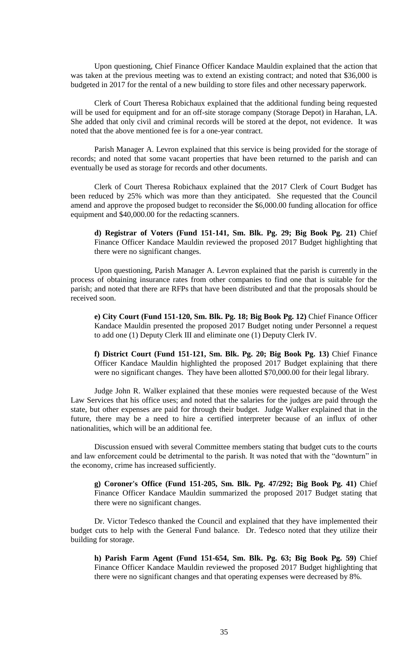Upon questioning, Chief Finance Officer Kandace Mauldin explained that the action that was taken at the previous meeting was to extend an existing contract; and noted that \$36,000 is budgeted in 2017 for the rental of a new building to store files and other necessary paperwork.

Clerk of Court Theresa Robichaux explained that the additional funding being requested will be used for equipment and for an off-site storage company (Storage Depot) in Harahan, LA. She added that only civil and criminal records will be stored at the depot, not evidence. It was noted that the above mentioned fee is for a one-year contract.

Parish Manager A. Levron explained that this service is being provided for the storage of records; and noted that some vacant properties that have been returned to the parish and can eventually be used as storage for records and other documents.

Clerk of Court Theresa Robichaux explained that the 2017 Clerk of Court Budget has been reduced by 25% which was more than they anticipated. She requested that the Council amend and approve the proposed budget to reconsider the \$6,000.00 funding allocation for office equipment and \$40,000.00 for the redacting scanners.

**d) Registrar of Voters (Fund 151-141, Sm. Blk. Pg. 29; Big Book Pg. 21)** Chief Finance Officer Kandace Mauldin reviewed the proposed 2017 Budget highlighting that there were no significant changes.

Upon questioning, Parish Manager A. Levron explained that the parish is currently in the process of obtaining insurance rates from other companies to find one that is suitable for the parish; and noted that there are RFPs that have been distributed and that the proposals should be received soon.

**e) City Court (Fund 151-120, Sm. Blk. Pg. 18; Big Book Pg. 12)** Chief Finance Officer Kandace Mauldin presented the proposed 2017 Budget noting under Personnel a request to add one (1) Deputy Clerk III and eliminate one (1) Deputy Clerk IV.

**f) District Court (Fund 151-121, Sm. Blk. Pg. 20; Big Book Pg. 13)** Chief Finance Officer Kandace Mauldin highlighted the proposed 2017 Budget explaining that there were no significant changes. They have been allotted \$70,000.00 for their legal library.

Judge John R. Walker explained that these monies were requested because of the West Law Services that his office uses; and noted that the salaries for the judges are paid through the state, but other expenses are paid for through their budget. Judge Walker explained that in the future, there may be a need to hire a certified interpreter because of an influx of other nationalities, which will be an additional fee.

Discussion ensued with several Committee members stating that budget cuts to the courts and law enforcement could be detrimental to the parish. It was noted that with the "downturn" in the economy, crime has increased sufficiently.

**g) Coroner's Office (Fund 151-205, Sm. Blk. Pg. 47/292; Big Book Pg. 41)** Chief Finance Officer Kandace Mauldin summarized the proposed 2017 Budget stating that there were no significant changes.

Dr. Victor Tedesco thanked the Council and explained that they have implemented their budget cuts to help with the General Fund balance. Dr. Tedesco noted that they utilize their building for storage.

**h) Parish Farm Agent (Fund 151-654, Sm. Blk. Pg. 63; Big Book Pg. 59)** Chief Finance Officer Kandace Mauldin reviewed the proposed 2017 Budget highlighting that there were no significant changes and that operating expenses were decreased by 8%.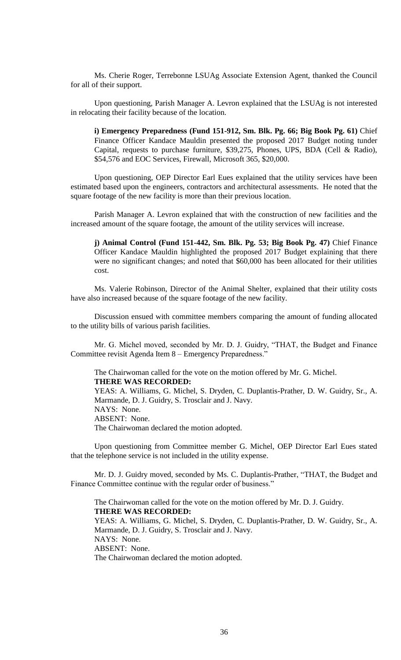Ms. Cherie Roger, Terrebonne LSUAg Associate Extension Agent, thanked the Council for all of their support.

Upon questioning, Parish Manager A. Levron explained that the LSUAg is not interested in relocating their facility because of the location.

**i) Emergency Preparedness (Fund 151-912, Sm. Blk. Pg. 66; Big Book Pg. 61)** Chief Finance Officer Kandace Mauldin presented the proposed 2017 Budget noting tunder Capital, requests to purchase furniture, \$39,275, Phones, UPS, BDA (Cell & Radio), \$54,576 and EOC Services, Firewall, Microsoft 365, \$20,000.

Upon questioning, OEP Director Earl Eues explained that the utility services have been estimated based upon the engineers, contractors and architectural assessments. He noted that the square footage of the new facility is more than their previous location.

Parish Manager A. Levron explained that with the construction of new facilities and the increased amount of the square footage, the amount of the utility services will increase.

**j) Animal Control (Fund 151-442, Sm. Blk. Pg. 53; Big Book Pg. 47)** Chief Finance Officer Kandace Mauldin highlighted the proposed 2017 Budget explaining that there were no significant changes; and noted that \$60,000 has been allocated for their utilities cost.

Ms. Valerie Robinson, Director of the Animal Shelter, explained that their utility costs have also increased because of the square footage of the new facility.

Discussion ensued with committee members comparing the amount of funding allocated to the utility bills of various parish facilities.

Mr. G. Michel moved, seconded by Mr. D. J. Guidry, "THAT, the Budget and Finance Committee revisit Agenda Item 8 – Emergency Preparedness."

The Chairwoman called for the vote on the motion offered by Mr. G. Michel. **THERE WAS RECORDED:** YEAS: A. Williams, G. Michel, S. Dryden, C. Duplantis-Prather, D. W. Guidry, Sr., A. Marmande, D. J. Guidry, S. Trosclair and J. Navy. NAYS: None. ABSENT: None. The Chairwoman declared the motion adopted.

Upon questioning from Committee member G. Michel, OEP Director Earl Eues stated that the telephone service is not included in the utility expense.

Mr. D. J. Guidry moved, seconded by Ms. C. Duplantis-Prather, "THAT, the Budget and Finance Committee continue with the regular order of business."

The Chairwoman called for the vote on the motion offered by Mr. D. J. Guidry. **THERE WAS RECORDED:** YEAS: A. Williams, G. Michel, S. Dryden, C. Duplantis-Prather, D. W. Guidry, Sr., A. Marmande, D. J. Guidry, S. Trosclair and J. Navy. NAYS: None. ABSENT: None. The Chairwoman declared the motion adopted.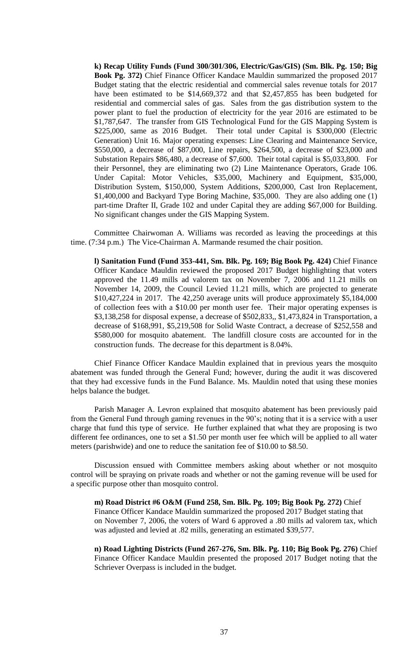**k) Recap Utility Funds (Fund 300/301/306, Electric/Gas/GIS) (Sm. Blk. Pg. 150; Big Book Pg. 372)** Chief Finance Officer Kandace Mauldin summarized the proposed 2017 Budget stating that the electric residential and commercial sales revenue totals for 2017 have been estimated to be \$14,669,372 and that \$2,457,855 has been budgeted for residential and commercial sales of gas. Sales from the gas distribution system to the power plant to fuel the production of electricity for the year 2016 are estimated to be \$1,787,647. The transfer from GIS Technological Fund for the GIS Mapping System is \$225,000, same as 2016 Budget. Their total under Capital is \$300,000 (Electric Generation) Unit 16. Major operating expenses: Line Clearing and Maintenance Service, \$550,000, a decrease of \$87,000, Line repairs, \$264,500, a decrease of \$23,000 and Substation Repairs \$86,480, a decrease of \$7,600. Their total capital is \$5,033,800. For their Personnel, they are eliminating two (2) Line Maintenance Operators, Grade 106. Under Capital: Motor Vehicles, \$35,000, Machinery and Equipment, \$35,000, Distribution System, \$150,000, System Additions, \$200,000, Cast Iron Replacement, \$1,400,000 and Backyard Type Boring Machine, \$35,000. They are also adding one (1) part-time Drafter II, Grade 102 and under Capital they are adding \$67,000 for Building. No significant changes under the GIS Mapping System.

Committee Chairwoman A. Williams was recorded as leaving the proceedings at this time. (7:34 p.m.) The Vice-Chairman A. Marmande resumed the chair position.

**l) Sanitation Fund (Fund 353-441, Sm. Blk. Pg. 169; Big Book Pg. 424)** Chief Finance Officer Kandace Mauldin reviewed the proposed 2017 Budget highlighting that voters approved the 11.49 mills ad valorem tax on November 7, 2006 and 11.21 mills on November 14, 2009, the Council Levied 11.21 mills, which are projected to generate \$10,427,224 in 2017. The 42,250 average units will produce approximately \$5,184,000 of collection fees with a \$10.00 per month user fee. Their major operating expenses is \$3,138,258 for disposal expense, a decrease of \$502,833,, \$1,473,824 in Transportation, a decrease of \$168,991, \$5,219,508 for Solid Waste Contract, a decrease of \$252,558 and \$580,000 for mosquito abatement. The landfill closure costs are accounted for in the construction funds. The decrease for this department is 8.04%.

Chief Finance Officer Kandace Mauldin explained that in previous years the mosquito abatement was funded through the General Fund; however, during the audit it was discovered that they had excessive funds in the Fund Balance. Ms. Mauldin noted that using these monies helps balance the budget.

Parish Manager A. Levron explained that mosquito abatement has been previously paid from the General Fund through gaming revenues in the 90's; noting that it is a service with a user charge that fund this type of service. He further explained that what they are proposing is two different fee ordinances, one to set a \$1.50 per month user fee which will be applied to all water meters (parishwide) and one to reduce the sanitation fee of \$10.00 to \$8.50.

Discussion ensued with Committee members asking about whether or not mosquito control will be spraying on private roads and whether or not the gaming revenue will be used for a specific purpose other than mosquito control.

**m) Road District #6 O&M (Fund 258, Sm. Blk. Pg. 109; Big Book Pg. 272)** Chief Finance Officer Kandace Mauldin summarized the proposed 2017 Budget stating that on November 7, 2006, the voters of Ward 6 approved a .80 mills ad valorem tax, which was adjusted and levied at .82 mills, generating an estimated \$39,577.

**n) Road Lighting Districts (Fund 267-276, Sm. Blk. Pg. 110; Big Book Pg. 276)** Chief Finance Officer Kandace Mauldin presented the proposed 2017 Budget noting that the Schriever Overpass is included in the budget.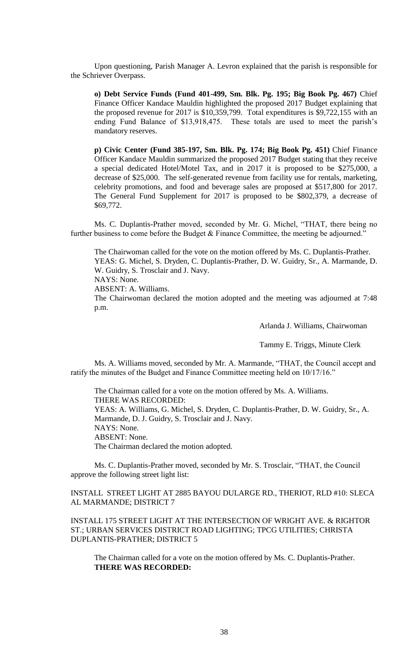Upon questioning, Parish Manager A. Levron explained that the parish is responsible for the Schriever Overpass.

**o) Debt Service Funds (Fund 401-499, Sm. Blk. Pg. 195; Big Book Pg. 467)** Chief Finance Officer Kandace Mauldin highlighted the proposed 2017 Budget explaining that the proposed revenue for 2017 is \$10,359,799. Total expenditures is \$9,722,155 with an ending Fund Balance of \$13,918,475. These totals are used to meet the parish's mandatory reserves.

**p) Civic Center (Fund 385-197, Sm. Blk. Pg. 174; Big Book Pg. 451)** Chief Finance Officer Kandace Mauldin summarized the proposed 2017 Budget stating that they receive a special dedicated Hotel/Motel Tax, and in 2017 it is proposed to be \$275,000, a decrease of \$25,000. The self-generated revenue from facility use for rentals, marketing, celebrity promotions, and food and beverage sales are proposed at \$517,800 for 2017. The General Fund Supplement for 2017 is proposed to be \$802,379, a decrease of \$69,772.

Ms. C. Duplantis-Prather moved, seconded by Mr. G. Michel, "THAT, there being no further business to come before the Budget & Finance Committee, the meeting be adjourned."

The Chairwoman called for the vote on the motion offered by Ms. C. Duplantis-Prather. YEAS: G. Michel, S. Dryden, C. Duplantis-Prather, D. W. Guidry, Sr., A. Marmande, D. W. Guidry, S. Trosclair and J. Navy.

NAYS: None.

ABSENT: A. Williams.

The Chairwoman declared the motion adopted and the meeting was adjourned at 7:48 p.m.

Arlanda J. Williams, Chairwoman

Tammy E. Triggs, Minute Clerk

Ms. A. Williams moved, seconded by Mr. A. Marmande, "THAT, the Council accept and ratify the minutes of the Budget and Finance Committee meeting held on 10/17/16."

The Chairman called for a vote on the motion offered by Ms. A. Williams. THERE WAS RECORDED: YEAS: A. Williams, G. Michel, S. Dryden, C. Duplantis-Prather, D. W. Guidry, Sr., A. Marmande, D. J. Guidry, S. Trosclair and J. Navy. NAYS: None. ABSENT: None. The Chairman declared the motion adopted.

Ms. C. Duplantis-Prather moved, seconded by Mr. S. Trosclair, "THAT, the Council approve the following street light list:

INSTALL STREET LIGHT AT 2885 BAYOU DULARGE RD., THERIOT, RLD #10: SLECA AL MARMANDE; DISTRICT 7

INSTALL 175 STREET LIGHT AT THE INTERSECTION OF WRIGHT AVE. & RIGHTOR ST.; URBAN SERVICES DISTRICT ROAD LIGHTING; TPCG UTILITIES; CHRISTA DUPLANTIS-PRATHER; DISTRICT 5

The Chairman called for a vote on the motion offered by Ms. C. Duplantis-Prather. **THERE WAS RECORDED:**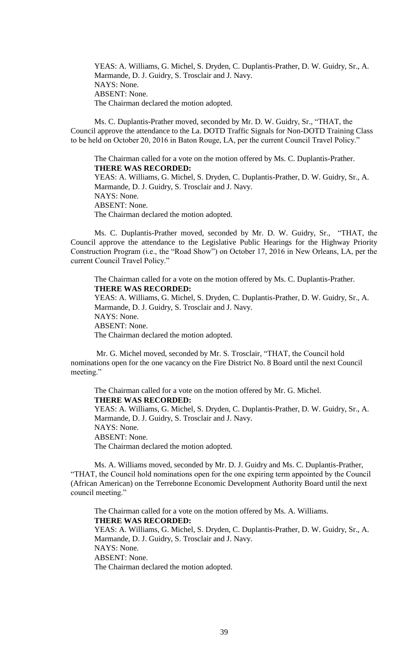YEAS: A. Williams, G. Michel, S. Dryden, C. Duplantis-Prather, D. W. Guidry, Sr., A. Marmande, D. J. Guidry, S. Trosclair and J. Navy. NAYS: None. ABSENT: None. The Chairman declared the motion adopted.

Ms. C. Duplantis-Prather moved, seconded by Mr. D. W. Guidry, Sr., "THAT, the Council approve the attendance to the La. DOTD Traffic Signals for Non-DOTD Training Class to be held on October 20, 2016 in Baton Rouge, LA, per the current Council Travel Policy."

The Chairman called for a vote on the motion offered by Ms. C. Duplantis-Prather. **THERE WAS RECORDED:** YEAS: A. Williams, G. Michel, S. Dryden, C. Duplantis-Prather, D. W. Guidry, Sr., A.

Marmande, D. J. Guidry, S. Trosclair and J. Navy. NAYS: None. ABSENT: None. The Chairman declared the motion adopted.

Ms. C. Duplantis-Prather moved, seconded by Mr. D. W. Guidry, Sr., "THAT, the Council approve the attendance to the Legislative Public Hearings for the Highway Priority Construction Program (i.e., the "Road Show") on October 17, 2016 in New Orleans, LA, per the current Council Travel Policy."

The Chairman called for a vote on the motion offered by Ms. C. Duplantis-Prather. **THERE WAS RECORDED:**

YEAS: A. Williams, G. Michel, S. Dryden, C. Duplantis-Prather, D. W. Guidry, Sr., A. Marmande, D. J. Guidry, S. Trosclair and J. Navy. NAYS: None. ABSENT: None. The Chairman declared the motion adopted.

Mr. G. Michel moved, seconded by Mr. S. Trosclair, "THAT, the Council hold nominations open for the one vacancy on the Fire District No. 8 Board until the next Council meeting."

The Chairman called for a vote on the motion offered by Mr. G. Michel. **THERE WAS RECORDED:** YEAS: A. Williams, G. Michel, S. Dryden, C. Duplantis-Prather, D. W. Guidry, Sr., A. Marmande, D. J. Guidry, S. Trosclair and J. Navy. NAYS: None. ABSENT: None. The Chairman declared the motion adopted.

Ms. A. Williams moved, seconded by Mr. D. J. Guidry and Ms. C. Duplantis-Prather, "THAT, the Council hold nominations open for the one expiring term appointed by the Council (African American) on the Terrebonne Economic Development Authority Board until the next council meeting."

The Chairman called for a vote on the motion offered by Ms. A. Williams. **THERE WAS RECORDED:** YEAS: A. Williams, G. Michel, S. Dryden, C. Duplantis-Prather, D. W. Guidry, Sr., A. Marmande, D. J. Guidry, S. Trosclair and J. Navy. NAYS: None. ABSENT: None. The Chairman declared the motion adopted.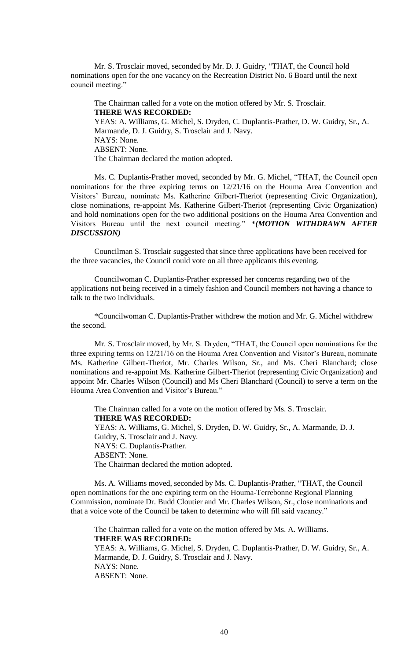Mr. S. Trosclair moved, seconded by Mr. D. J. Guidry, "THAT, the Council hold nominations open for the one vacancy on the Recreation District No. 6 Board until the next council meeting."

The Chairman called for a vote on the motion offered by Mr. S. Trosclair. **THERE WAS RECORDED:** YEAS: A. Williams, G. Michel, S. Dryden, C. Duplantis-Prather, D. W. Guidry, Sr., A. Marmande, D. J. Guidry, S. Trosclair and J. Navy. NAYS: None. ABSENT: None. The Chairman declared the motion adopted.

Ms. C. Duplantis-Prather moved, seconded by Mr. G. Michel, "THAT, the Council open nominations for the three expiring terms on 12/21/16 on the Houma Area Convention and Visitors' Bureau, nominate Ms. Katherine Gilbert-Theriot (representing Civic Organization), close nominations, re-appoint Ms. Katherine Gilbert-Theriot (representing Civic Organization) and hold nominations open for the two additional positions on the Houma Area Convention and Visitors Bureau until the next council meeting." \**(MOTION WITHDRAWN AFTER DISCUSSION)*

Councilman S. Trosclair suggested that since three applications have been received for the three vacancies, the Council could vote on all three applicants this evening.

Councilwoman C. Duplantis-Prather expressed her concerns regarding two of the applications not being received in a timely fashion and Council members not having a chance to talk to the two individuals.

\*Councilwoman C. Duplantis-Prather withdrew the motion and Mr. G. Michel withdrew the second.

Mr. S. Trosclair moved, by Mr. S. Dryden, "THAT, the Council open nominations for the three expiring terms on 12/21/16 on the Houma Area Convention and Visitor's Bureau, nominate Ms. Katherine Gilbert-Theriot, Mr. Charles Wilson, Sr., and Ms. Cheri Blanchard; close nominations and re-appoint Ms. Katherine Gilbert-Theriot (representing Civic Organization) and appoint Mr. Charles Wilson (Council) and Ms Cheri Blanchard (Council) to serve a term on the Houma Area Convention and Visitor's Bureau."

The Chairman called for a vote on the motion offered by Ms. S. Trosclair. **THERE WAS RECORDED:** YEAS: A. Williams, G. Michel, S. Dryden, D. W. Guidry, Sr., A. Marmande, D. J. Guidry, S. Trosclair and J. Navy. NAYS: C. Duplantis-Prather. ABSENT: None. The Chairman declared the motion adopted.

Ms. A. Williams moved, seconded by Ms. C. Duplantis-Prather, "THAT, the Council open nominations for the one expiring term on the Houma-Terrebonne Regional Planning Commission, nominate Dr. Budd Cloutier and Mr. Charles Wilson, Sr., close nominations and that a voice vote of the Council be taken to determine who will fill said vacancy."

The Chairman called for a vote on the motion offered by Ms. A. Williams. **THERE WAS RECORDED:** YEAS: A. Williams, G. Michel, S. Dryden, C. Duplantis-Prather, D. W. Guidry, Sr., A. Marmande, D. J. Guidry, S. Trosclair and J. Navy. NAYS: None. ABSENT: None.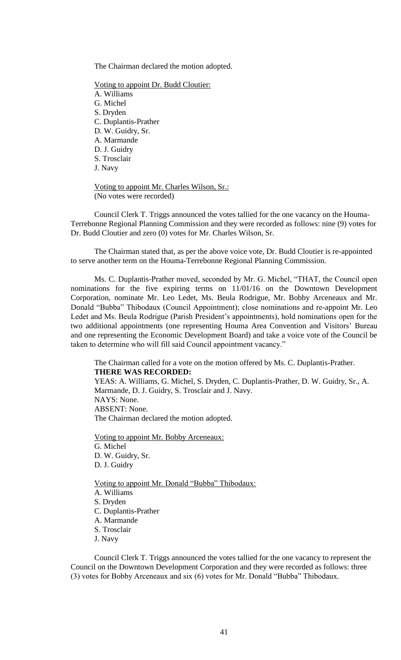The Chairman declared the motion adopted.

Voting to appoint Dr. Budd Cloutier: A. Williams G. Michel S. Dryden C. Duplantis-Prather D. W. Guidry, Sr. A. Marmande D. J. Guidry S. Trosclair J. Navy

Voting to appoint Mr. Charles Wilson, Sr.: (No votes were recorded)

Council Clerk T. Triggs announced the votes tallied for the one vacancy on the Houma-Terrebonne Regional Planning Commission and they were recorded as follows: nine (9) votes for Dr. Budd Cloutier and zero (0) votes for Mr. Charles Wilson, Sr.

The Chairman stated that, as per the above voice vote, Dr. Budd Cloutier is re-appointed to serve another term on the Houma-Terrebonne Regional Planning Commission.

Ms. C. Duplantis-Prather moved, seconded by Mr. G. Michel, "THAT, the Council open nominations for the five expiring terms on 11/01/16 on the Downtown Development Corporation, nominate Mr. Leo Ledet, Ms. Beula Rodrigue, Mr. Bobby Arceneaux and Mr. Donald "Bubba" Thibodaux (Council Appointment); close nominations and re-appoint Mr. Leo Ledet and Ms. Beula Rodrigue (Parish President's appointments), hold nominations open for the two additional appointments (one representing Houma Area Convention and Visitors' Bureau and one representing the Economic Development Board) and take a voice vote of the Council be taken to determine who will fill said Council appointment vacancy."

The Chairman called for a vote on the motion offered by Ms. C. Duplantis-Prather. **THERE WAS RECORDED:**

YEAS: A. Williams, G. Michel, S. Dryden, C. Duplantis-Prather, D. W. Guidry, Sr., A. Marmande, D. J. Guidry, S. Trosclair and J. Navy. NAYS: None. ABSENT: None. The Chairman declared the motion adopted.

Voting to appoint Mr. Bobby Arceneaux: G. Michel D. W. Guidry, Sr. D. J. Guidry

Voting to appoint Mr. Donald "Bubba" Thibodaux: A. Williams S. Dryden C. Duplantis-Prather A. Marmande S. Trosclair J. Navy

Council Clerk T. Triggs announced the votes tallied for the one vacancy to represent the Council on the Downtown Development Corporation and they were recorded as follows: three (3) votes for Bobby Arceneaux and six (6) votes for Mr. Donald "Bubba" Thibodaux.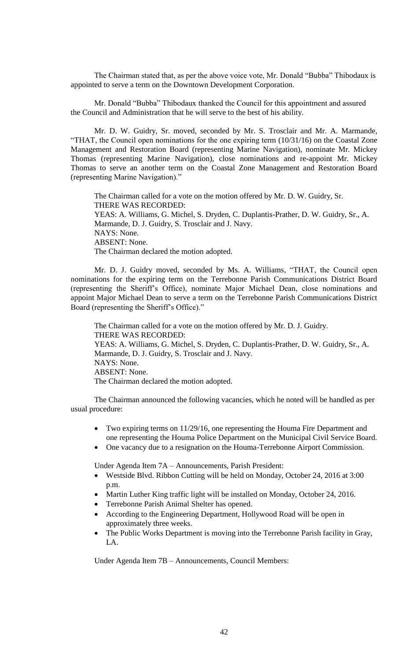The Chairman stated that, as per the above voice vote, Mr. Donald "Bubba" Thibodaux is appointed to serve a term on the Downtown Development Corporation.

Mr. Donald "Bubba" Thibodaux thanked the Council for this appointment and assured the Council and Administration that he will serve to the best of his ability.

Mr. D. W. Guidry, Sr. moved, seconded by Mr. S. Trosclair and Mr. A. Marmande, "THAT, the Council open nominations for the one expiring term (10/31/16) on the Coastal Zone Management and Restoration Board (representing Marine Navigation), nominate Mr. Mickey Thomas (representing Marine Navigation), close nominations and re-appoint Mr. Mickey Thomas to serve an another term on the Coastal Zone Management and Restoration Board (representing Marine Navigation)."

The Chairman called for a vote on the motion offered by Mr. D. W. Guidry, Sr. THERE WAS RECORDED: YEAS: A. Williams, G. Michel, S. Dryden, C. Duplantis-Prather, D. W. Guidry, Sr., A. Marmande, D. J. Guidry, S. Trosclair and J. Navy. NAYS: None. ABSENT: None. The Chairman declared the motion adopted.

Mr. D. J. Guidry moved, seconded by Ms. A. Williams, "THAT, the Council open nominations for the expiring term on the Terrebonne Parish Communications District Board (representing the Sheriff's Office), nominate Major Michael Dean, close nominations and appoint Major Michael Dean to serve a term on the Terrebonne Parish Communications District Board (representing the Sheriff's Office)."

The Chairman called for a vote on the motion offered by Mr. D. J. Guidry. THERE WAS RECORDED: YEAS: A. Williams, G. Michel, S. Dryden, C. Duplantis-Prather, D. W. Guidry, Sr., A. Marmande, D. J. Guidry, S. Trosclair and J. Navy. NAYS: None. ABSENT: None. The Chairman declared the motion adopted.

The Chairman announced the following vacancies, which he noted will be handled as per usual procedure:

- Two expiring terms on 11/29/16, one representing the Houma Fire Department and one representing the Houma Police Department on the Municipal Civil Service Board.
- One vacancy due to a resignation on the Houma-Terrebonne Airport Commission.

Under Agenda Item 7A – Announcements, Parish President:

- Westside Blvd. Ribbon Cutting will be held on Monday, October 24, 2016 at 3:00 p.m.
- Martin Luther King traffic light will be installed on Monday, October 24, 2016.
- Terrebonne Parish Animal Shelter has opened.
- According to the Engineering Department, Hollywood Road will be open in approximately three weeks.
- The Public Works Department is moving into the Terrebonne Parish facility in Gray, LA.

Under Agenda Item 7B – Announcements, Council Members: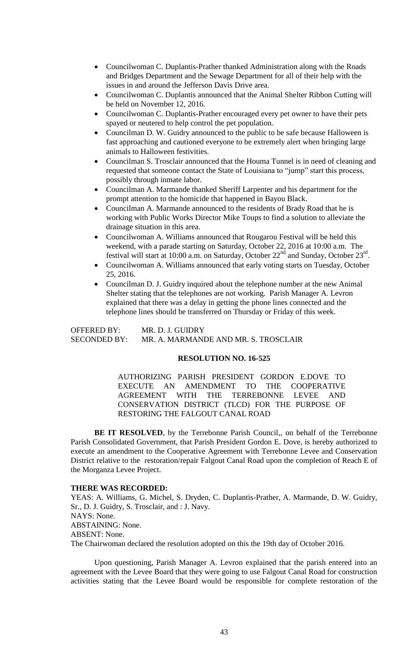- Councilwoman C. Duplantis-Prather thanked Administration along with the Roads and Bridges Department and the Sewage Department for all of their help with the issues in and around the Jefferson Davis Drive area.
- Councilwoman C. Duplantis announced that the Animal Shelter Ribbon Cutting will be held on November 12, 2016.
- Councilwoman C. Duplantis-Prather encouraged every pet owner to have their pets spayed or neutered to help control the pet population.
- Councilman D. W. Guidry announced to the public to be safe because Halloween is fast approaching and cautioned everyone to be extremely alert when bringing large animals to Halloween festivities.
- Councilman S. Trosclair announced that the Houma Tunnel is in need of cleaning and requested that someone contact the State of Louisiana to "jump" start this process, possibly through inmate labor.
- Councilman A. Marmande thanked Sheriff Larpenter and his department for the prompt attention to the homicide that happened in Bayou Black.
- Councilman A. Marmande announced to the residents of Brady Road that he is working with Public Works Director Mike Toups to find a solution to alleviate the drainage situation in this area.
- Councilwoman A. Williams announced that Rougarou Festival will be held this weekend, with a parade starting on Saturday, October 22, 2016 at 10:00 a.m. The festival will start at 10:00 a.m. on Saturday, October 22<sup>nd</sup> and Sunday, October 23<sup>rd</sup>.
- Councilwoman A. Williams announced that early voting starts on Tuesday, October 25, 2016.
- Councilman D. J. Guidry inquired about the telephone number at the new Animal Shelter stating that the telephones are not working. Parish Manager A. Levron explained that there was a delay in getting the phone lines connected and the telephone lines should be transferred on Thursday or Friday of this week.

OFFERED BY: MR. D. J. GUIDRY SECONDED BY: MR. A. MARMANDE AND MR. S. TROSCLAIR

### **RESOLUTION NO. 16-525**

AUTHORIZING PARISH PRESIDENT GORDON E.DOVE TO EXECUTE AN AMENDMENT TO THE COOPERATIVE AGREEMENT WITH THE TERREBONNE LEVEE AND CONSERVATION DISTRICT (TLCD) FOR THE PURPOSE OF RESTORING THE FALGOUT CANAL ROAD

BE IT RESOLVED, by the Terrebonne Parish Council,, on behalf of the Terrebonne Parish Consolidated Government, that Parish President Gordon E. Dove, is hereby authorized to execute an amendment to the Cooperative Agreement with Terrebonne Levee and Conservation District relative to the restoration/repair Falgout Canal Road upon the completion of Reach E of the Morganza Levee Project.

### **THERE WAS RECORDED:**

YEAS: A. Williams, G. Michel, S. Dryden, C. Duplantis-Prather, A. Marmande, D. W. Guidry, Sr., D. J. Guidry, S. Trosclair, and : J. Navy. NAYS: None. ABSTAINING: None. ABSENT: None. The Chairwoman declared the resolution adopted on this the 19th day of October 2016.

Upon questioning, Parish Manager A. Levron explained that the parish entered into an agreement with the Levee Board that they were going to use Falgout Canal Road for construction activities stating that the Levee Board would be responsible for complete restoration of the